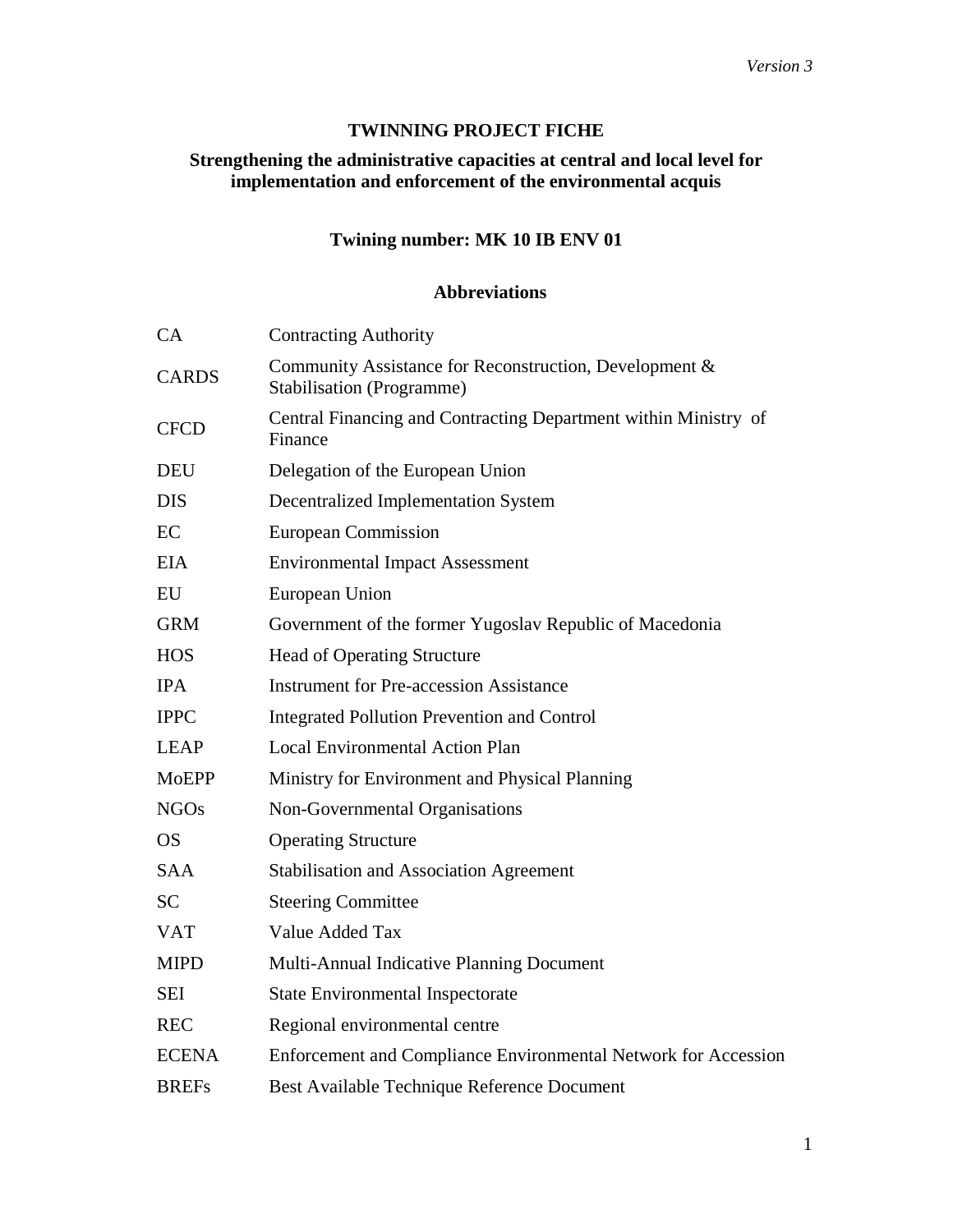## **TWINNING PROJECT FICHE**

# **Strengthening the administrative capacities at central and local level for implementation and enforcement of the environmental acquis**

# **Twining number: MK 10 IB ENV 01**

## **Abbreviations**

| CA           | <b>Contracting Authority</b>                                                               |
|--------------|--------------------------------------------------------------------------------------------|
| <b>CARDS</b> | Community Assistance for Reconstruction, Development &<br><b>Stabilisation (Programme)</b> |
| <b>CFCD</b>  | Central Financing and Contracting Department within Ministry of<br>Finance                 |
| <b>DEU</b>   | Delegation of the European Union                                                           |
| <b>DIS</b>   | <b>Decentralized Implementation System</b>                                                 |
| EC           | <b>European Commission</b>                                                                 |
| <b>EIA</b>   | <b>Environmental Impact Assessment</b>                                                     |
| EU           | European Union                                                                             |
| <b>GRM</b>   | Government of the former Yugoslav Republic of Macedonia                                    |
| <b>HOS</b>   | <b>Head of Operating Structure</b>                                                         |
| <b>IPA</b>   | <b>Instrument for Pre-accession Assistance</b>                                             |
| <b>IPPC</b>  | <b>Integrated Pollution Prevention and Control</b>                                         |
| <b>LEAP</b>  | <b>Local Environmental Action Plan</b>                                                     |
| <b>MoEPP</b> | Ministry for Environment and Physical Planning                                             |
| <b>NGOs</b>  | Non-Governmental Organisations                                                             |
| <b>OS</b>    | <b>Operating Structure</b>                                                                 |
| <b>SAA</b>   | <b>Stabilisation and Association Agreement</b>                                             |
| <b>SC</b>    | <b>Steering Committee</b>                                                                  |
| <b>VAT</b>   | Value Added Tax                                                                            |
| <b>MIPD</b>  | Multi-Annual Indicative Planning Document                                                  |
| SEI          | <b>State Environmental Inspectorate</b>                                                    |
| <b>REC</b>   | Regional environmental centre                                                              |
| <b>ECENA</b> | Enforcement and Compliance Environmental Network for Accession                             |
| <b>BREFs</b> | Best Available Technique Reference Document                                                |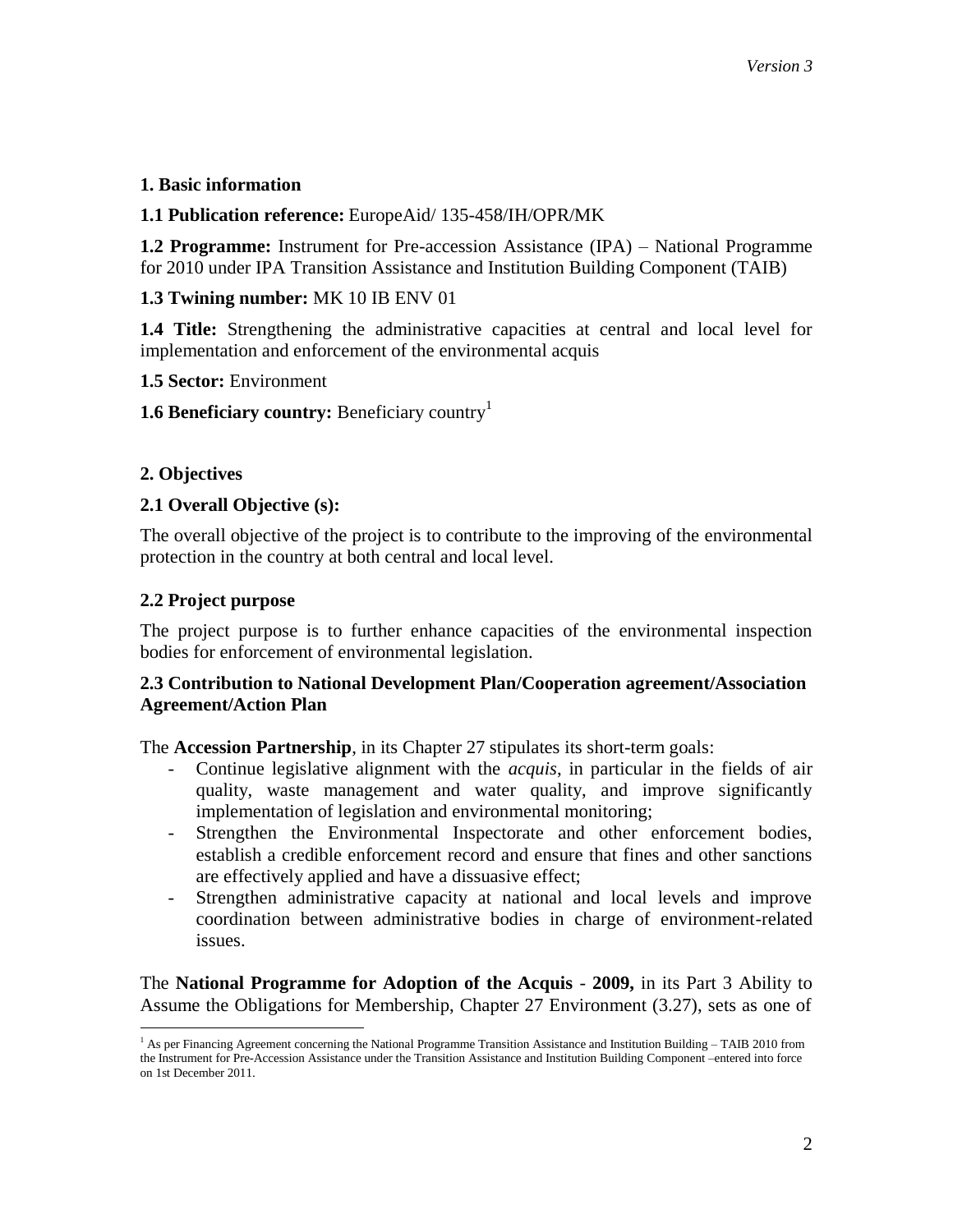#### **1. Basic information**

#### **1.1 Publication reference:** EuropeAid/ 135-458/IH/OPR/MK

**1.2 Programme:** Instrument for Pre-accession Assistance (IPA) – National Programme for 2010 under IPA Transition Assistance and Institution Building Component (TAIB)

## **1.3 Twining number:** MK 10 IB ENV 01

**1.4 Title:** Strengthening the administrative capacities at central and local level for implementation and enforcement of the environmental acquis

#### **1.5 Sector:** Environment

**1.6 Beneficiary country:** Beneficiary country<sup>1</sup>

# **2. Objectives**

 $\overline{a}$ 

## **2.1 Overall Objective (s):**

The overall objective of the project is to contribute to the improving of the environmental protection in the country at both central and local level.

## **2.2 Project purpose**

The project purpose is to further enhance capacities of the environmental inspection bodies for enforcement of environmental legislation.

## **2.3 Contribution to National Development Plan/Cooperation agreement/Association Agreement/Action Plan**

The **Accession Partnership**, in its Chapter 27 stipulates its short-term goals:

- Continue legislative alignment with the *acquis*, in particular in the fields of air quality, waste management and water quality, and improve significantly implementation of legislation and environmental monitoring;
- Strengthen the Environmental Inspectorate and other enforcement bodies, establish a credible enforcement record and ensure that fines and other sanctions are effectively applied and have a dissuasive effect;
- Strengthen administrative capacity at national and local levels and improve coordination between administrative bodies in charge of environment-related issues.

The **National Programme for Adoption of the Acquis** - **2009,** in its Part 3 Ability to Assume the Obligations for Membership, Chapter 27 Environment (3.27), sets as one of

<sup>1</sup> As per Financing Agreement concerning the National Programme Transition Assistance and Institution Building – TAIB 2010 from the Instrument for Pre-Accession Assistance under the Transition Assistance and Institution Building Component –entered into force on 1st December 2011.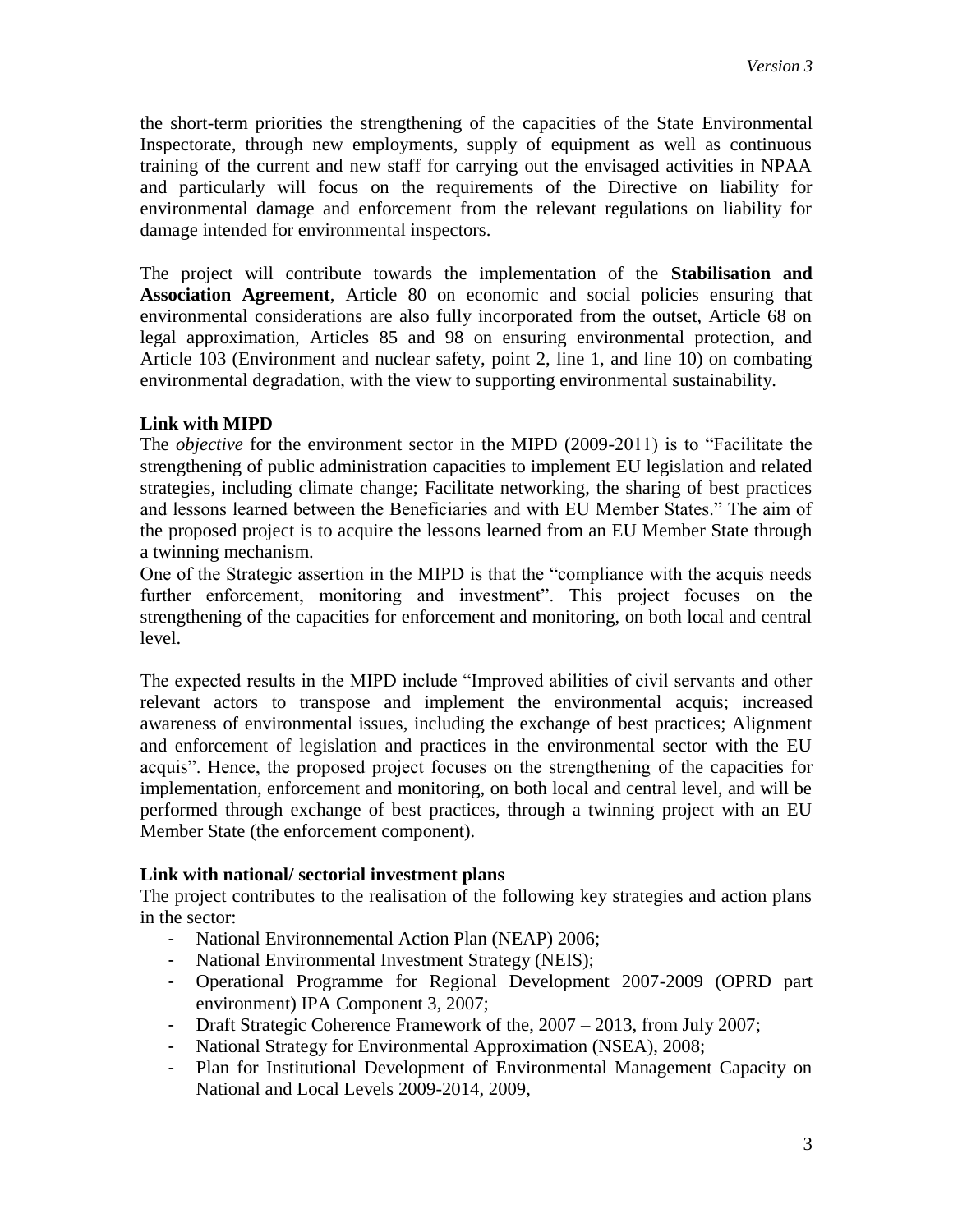the short-term priorities the strengthening of the capacities of the State Environmental Inspectorate, through new employments, supply of equipment as well as continuous training of the current and new staff for carrying out the envisaged activities in NPAA and particularly will focus on the requirements of the Directive on liability for environmental damage and enforcement from the relevant regulations on liability for damage intended for environmental inspectors.

The project will contribute towards the implementation of the **Stabilisation and Association Agreement**, Article 80 on economic and social policies ensuring that environmental considerations are also fully incorporated from the outset, Article 68 on legal approximation, Articles 85 and 98 on ensuring environmental protection, and Article 103 (Environment and nuclear safety, point 2, line 1, and line 10) on combating environmental degradation, with the view to supporting environmental sustainability.

## **Link with MIPD**

The *objective* for the environment sector in the MIPD (2009-2011) is to "Facilitate the strengthening of public administration capacities to implement EU legislation and related strategies, including climate change; Facilitate networking, the sharing of best practices and lessons learned between the Beneficiaries and with EU Member States." The aim of the proposed project is to acquire the lessons learned from an EU Member State through a twinning mechanism.

One of the Strategic assertion in the MIPD is that the "compliance with the acquis needs further enforcement, monitoring and investment". This project focuses on the strengthening of the capacities for enforcement and monitoring, on both local and central level.

The expected results in the MIPD include "Improved abilities of civil servants and other relevant actors to transpose and implement the environmental acquis; increased awareness of environmental issues, including the exchange of best practices; Alignment and enforcement of legislation and practices in the environmental sector with the EU acquis". Hence, the proposed project focuses on the strengthening of the capacities for implementation, enforcement and monitoring, on both local and central level, and will be performed through exchange of best practices, through a twinning project with an EU Member State (the enforcement component).

#### **Link with national/ sectorial investment plans**

The project contributes to the realisation of the following key strategies and action plans in the sector:

- National Environnemental Action Plan (NEAP) 2006;
- National Environmental Investment Strategy (NEIS);
- Operational Programme for Regional Development 2007-2009 (OPRD part environment) IPA Component 3, 2007;
- Draft Strategic Coherence Framework of the, 2007 2013, from July 2007;
- National Strategy for Environmental Approximation (NSEA), 2008;
- Plan for Institutional Development of Environmental Management Capacity on National and Local Levels 2009-2014, 2009,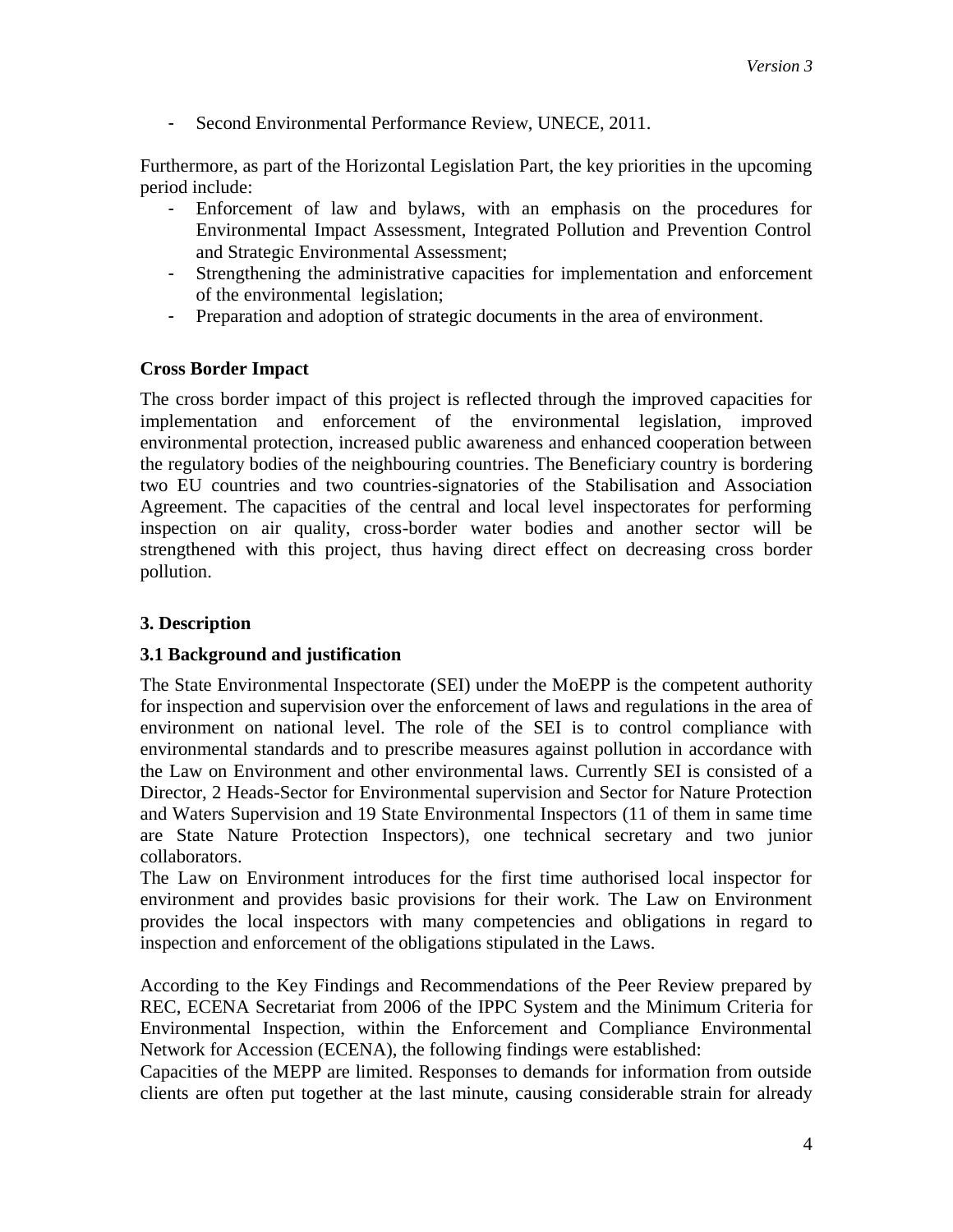- Second Environmental Performance Review, UNECE, 2011.

Furthermore, as part of the Horizontal Legislation Part, the key priorities in the upcoming period include:

- Enforcement of law and bylaws, with an emphasis on the procedures for Environmental Impact Assessment, Integrated Pollution and Prevention Control and Strategic Environmental Assessment;
- Strengthening the administrative capacities for implementation and enforcement of the environmental legislation;
- Preparation and adoption of strategic documents in the area of environment.

## **Cross Border Impact**

The cross border impact of this project is reflected through the improved capacities for implementation and enforcement of the environmental legislation, improved environmental protection, increased public awareness and enhanced cooperation between the regulatory bodies of the neighbouring countries. The Beneficiary country is bordering two EU countries and two countries-signatories of the Stabilisation and Association Agreement. The capacities of the central and local level inspectorates for performing inspection on air quality, cross-border water bodies and another sector will be strengthened with this project, thus having direct effect on decreasing cross border pollution.

## **3. Description**

# **3.1 Background and justification**

The State Environmental Inspectorate (SEI) under the MoEPP is the competent authority for inspection and supervision over the enforcement of laws and regulations in the area of environment on national level. The role of the SEI is to control compliance with environmental standards and to prescribe measures against pollution in accordance with the Law on Environment and other environmental laws. Currently SEI is consisted of a Director, 2 Heads-Sector for Environmental supervision and Sector for Nature Protection and Waters Supervision and 19 State Environmental Inspectors (11 of them in same time are State Nature Protection Inspectors), one technical secretary and two junior collaborators.

The Law on Environment introduces for the first time authorised local inspector for environment and provides basic provisions for their work. The Law on Environment provides the local inspectors with many competencies and obligations in regard to inspection and enforcement of the obligations stipulated in the Laws.

According to the Key Findings and Recommendations of the Peer Review prepared by REC, ECENA Secretariat from 2006 of the IPPC System and the Minimum Criteria for Environmental Inspection, within the Enforcement and Compliance Environmental Network for Accession (ECENA), the following findings were established:

Capacities of the MEPP are limited. Responses to demands for information from outside clients are often put together at the last minute, causing considerable strain for already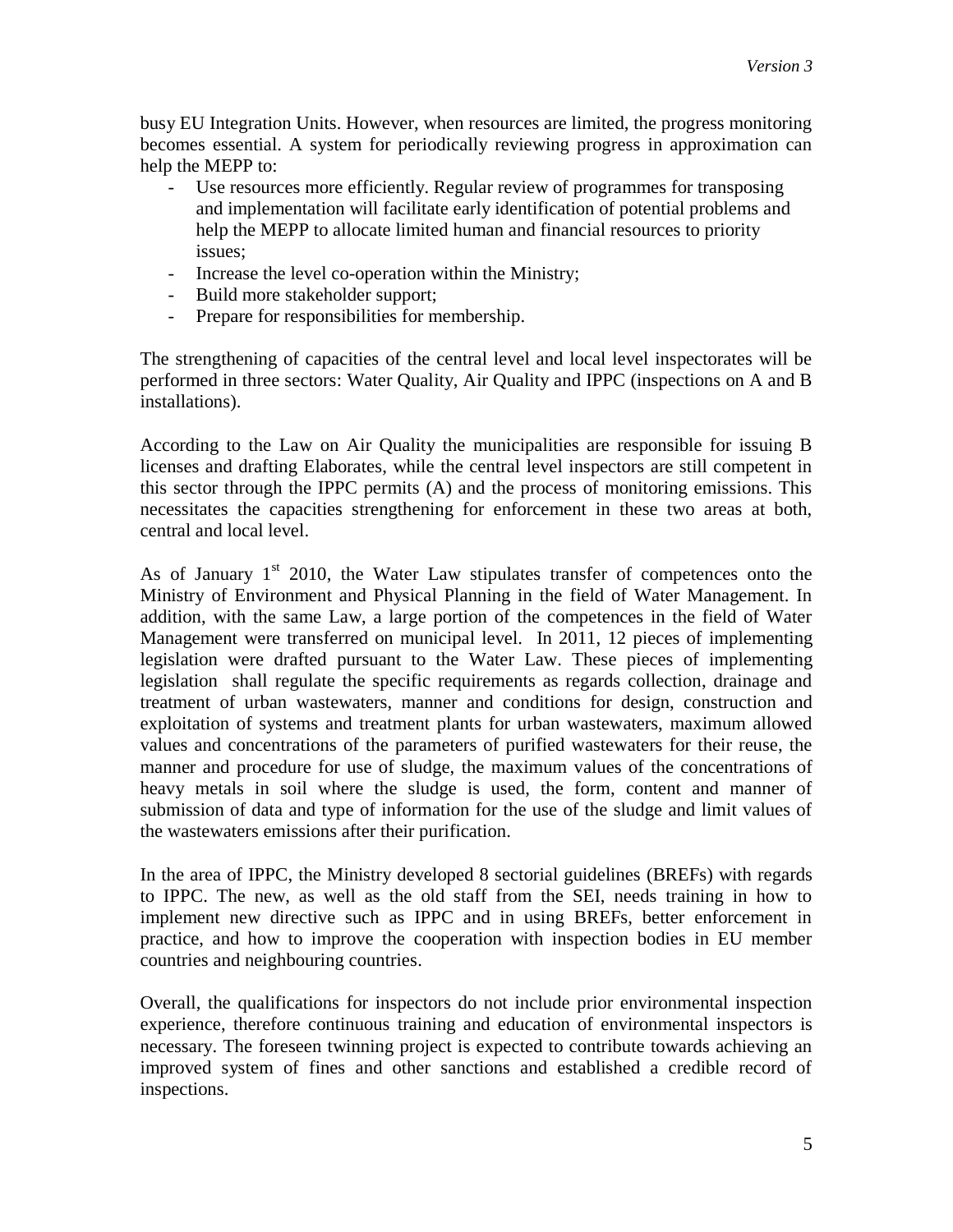busy EU Integration Units. However, when resources are limited, the progress monitoring becomes essential. A system for periodically reviewing progress in approximation can help the MEPP to:

- Use resources more efficiently. Regular review of programmes for transposing and implementation will facilitate early identification of potential problems and help the MEPP to allocate limited human and financial resources to priority issues;
- Increase the level co-operation within the Ministry;
- Build more stakeholder support;
- Prepare for responsibilities for membership.

The strengthening of capacities of the central level and local level inspectorates will be performed in three sectors: Water Quality, Air Quality and IPPC (inspections on A and B installations).

According to the Law on Air Quality the municipalities are responsible for issuing B licenses and drafting Elaborates, while the central level inspectors are still competent in this sector through the IPPC permits (A) and the process of monitoring emissions. This necessitates the capacities strengthening for enforcement in these two areas at both, central and local level.

As of January  $1<sup>st</sup>$  2010, the Water Law stipulates transfer of competences onto the Ministry of Environment and Physical Planning in the field of Water Management. In addition, with the same Law, a large portion of the competences in the field of Water Management were transferred on municipal level. In 2011, 12 pieces of implementing legislation were drafted pursuant to the Water Law. These pieces of implementing legislation shall regulate the specific requirements as regards collection, drainage and treatment of urban wastewaters, manner and conditions for design, construction and exploitation of systems and treatment plants for urban wastewaters, maximum allowed values and concentrations of the parameters of purified wastewaters for their reuse, the manner and procedure for use of sludge, the maximum values of the concentrations of heavy metals in soil where the sludge is used, the form, content and manner of submission of data and type of information for the use of the sludge and limit values of the wastewaters emissions after their purification.

In the area of IPPC, the Ministry developed 8 sectorial guidelines (BREFs) with regards to IPPC. The new, as well as the old staff from the SEI, needs training in how to implement new directive such as IPPC and in using BREFs, better enforcement in practice, and how to improve the cooperation with inspection bodies in EU member countries and neighbouring countries.

Overall, the qualifications for inspectors do not include prior environmental inspection experience, therefore continuous training and education of environmental inspectors is necessary. The foreseen twinning project is expected to contribute towards achieving an improved system of fines and other sanctions and established a credible record of inspections.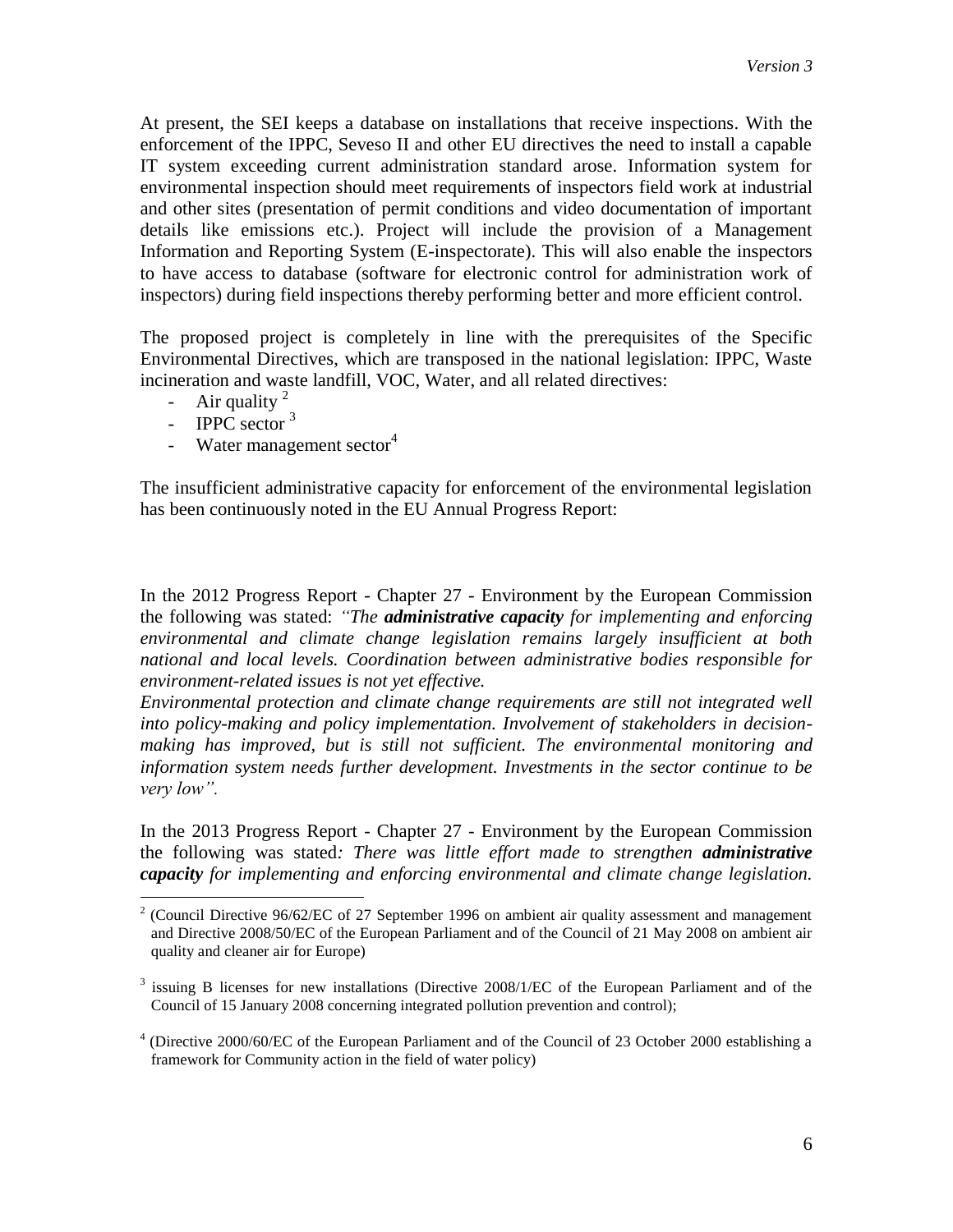At present, the SEI keeps a database on installations that receive inspections. With the enforcement of the IPPC, Seveso II and other EU directives the need to install a capable IT system exceeding current administration standard arose. Information system for environmental inspection should meet requirements of inspectors field work at industrial and other sites (presentation of permit conditions and video documentation of important details like emissions etc.). Project will include the provision of a Management Information and Reporting System (E-inspectorate). This will also enable the inspectors to have access to database (software for electronic control for administration work of inspectors) during field inspections thereby performing better and more efficient control.

The proposed project is completely in line with the prerequisites of the Specific Environmental Directives, which are transposed in the national legislation: IPPC, Waste incineration and waste landfill, VOC, Water, and all related directives:

- Air quality  $2^2$
- IPPC sector <sup>3</sup>

 $\overline{a}$ 

- Water management sector<sup>4</sup>

The insufficient administrative capacity for enforcement of the environmental legislation has been continuously noted in the EU Annual Progress Report:

In the 2012 Progress Report - Chapter 27 - Environment by the European Commission the following was stated: *"The administrative capacity for implementing and enforcing environmental and climate change legislation remains largely insufficient at both national and local levels. Coordination between administrative bodies responsible for environment-related issues is not yet effective.*

*Environmental protection and climate change requirements are still not integrated well into policy-making and policy implementation. Involvement of stakeholders in decisionmaking has improved, but is still not sufficient. The environmental monitoring and information system needs further development. Investments in the sector continue to be very low".*

In the 2013 Progress Report - Chapter 27 - Environment by the European Commission the following was stated*: There was little effort made to strengthen administrative capacity for implementing and enforcing environmental and climate change legislation.* 

<sup>&</sup>lt;sup>2</sup> (Council Directive 96/62/EC of 27 September 1996 on ambient air quality assessment and management and Directive 2008/50/EC of the European Parliament and of the Council of 21 May 2008 on ambient air quality and cleaner air for Europe)

<sup>&</sup>lt;sup>3</sup> issuing B licenses for new installations (Directive 2008/1/EC of the European Parliament and of the Council of 15 January 2008 concerning integrated pollution prevention and control);

<sup>&</sup>lt;sup>4</sup> (Directive 2000/60/EC of the European Parliament and of the Council of 23 October 2000 establishing a framework for Community action in the field of water policy)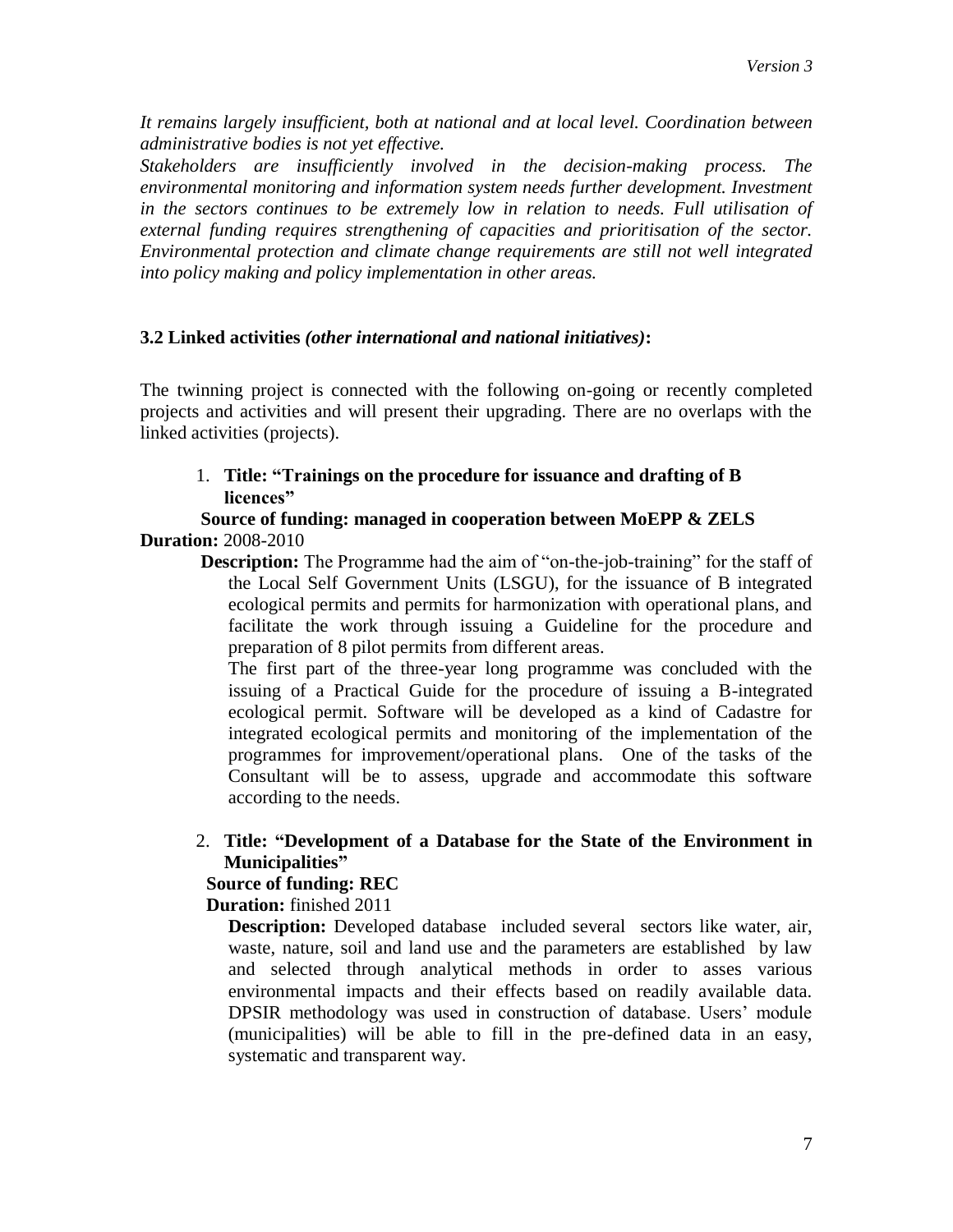*It remains largely insufficient, both at national and at local level. Coordination between administrative bodies is not yet effective.*

*Stakeholders are insufficiently involved in the decision-making process. The environmental monitoring and information system needs further development. Investment in the sectors continues to be extremely low in relation to needs. Full utilisation of external funding requires strengthening of capacities and prioritisation of the sector. Environmental protection and climate change requirements are still not well integrated into policy making and policy implementation in other areas.* 

# **3.2 Linked activities** *(other international and national initiatives)***:**

The twinning project is connected with the following on-going or recently completed projects and activities and will present their upgrading. There are no overlaps with the linked activities (projects).

1. **Title: "Trainings on the procedure for issuance and drafting of B licences"**

#### **Source of funding: managed in cooperation between MoEPP & ZELS Duration:** 2008-2010

**Description:** The Programme had the aim of "on-the-job-training" for the staff of the Local Self Government Units (LSGU), for the issuance of B integrated ecological permits and permits for harmonization with operational plans, and facilitate the work through issuing a Guideline for the procedure and preparation of 8 pilot permits from different areas.

The first part of the three-year long programme was concluded with the issuing of a Practical Guide for the procedure of issuing a B-integrated ecological permit. Software will be developed as a kind of Cadastre for integrated ecological permits and monitoring of the implementation of the programmes for improvement/operational plans. One of the tasks of the Consultant will be to assess, upgrade and accommodate this software according to the needs.

2. **Title: "Development of a Database for the State of the Environment in Municipalities"**

# **Source of funding: REC**

**Duration:** finished 2011

**Description:** Developed database included several sectors like water, air, waste, nature, soil and land use and the parameters are established by law and selected through analytical methods in order to asses various environmental impacts and their effects based on readily available data. DPSIR methodology was used in construction of database. Users' module (municipalities) will be able to fill in the pre-defined data in an easy, systematic and transparent way.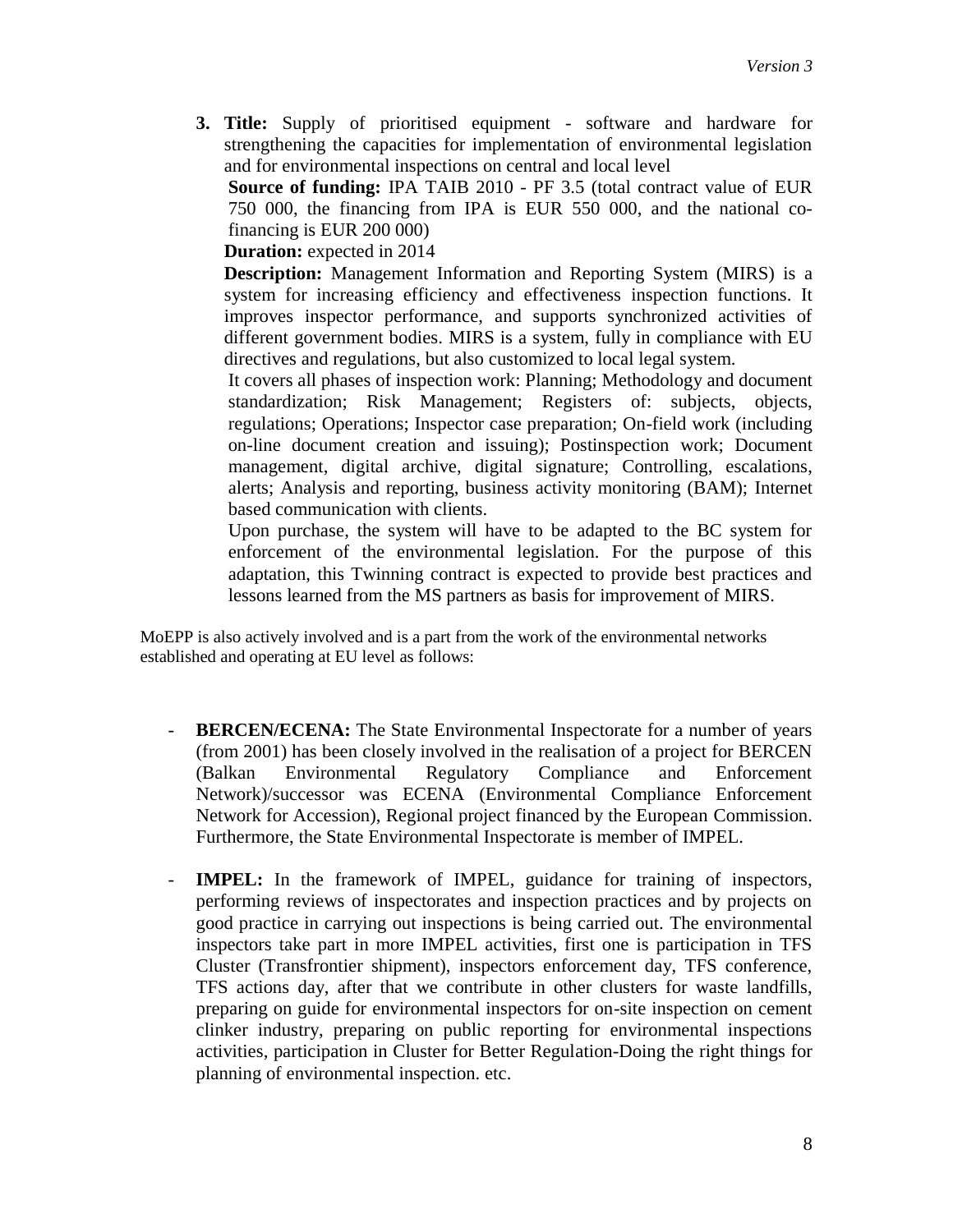**3. Title:** Supply of prioritised equipment - software and hardware for strengthening the capacities for implementation of environmental legislation and for environmental inspections on central and local level

**Source of funding:** IPA TAIB 2010 - PF 3.5 (total contract value of EUR 750 000, the financing from IPA is EUR 550 000, and the national cofinancing is EUR 200 000)

 **Duration:** expected in 2014

**Description:** Management Information and Reporting System (MIRS) is a system for increasing efficiency and effectiveness inspection functions. It improves inspector performance, and supports synchronized activities of different government bodies. MIRS is a system, fully in compliance with EU directives and regulations, but also customized to local legal system.

It covers all phases of inspection work: Planning; Methodology and document standardization; Risk Management; Registers of: subjects, objects, regulations; Operations; Inspector case preparation; On-field work (including on-line document creation and issuing); Postinspection work; Document management, digital archive, digital signature; Controlling, escalations, alerts; Analysis and reporting, business activity monitoring (BAM); Internet based communication with clients.

Upon purchase, the system will have to be adapted to the BC system for enforcement of the environmental legislation. For the purpose of this adaptation, this Twinning contract is expected to provide best practices and lessons learned from the MS partners as basis for improvement of MIRS.

MoEPP is also actively involved and is a part from the work of the environmental networks established and operating at EU level as follows:

- **BERCEN/ECENA:** The State Environmental Inspectorate for a number of years (from 2001) has been closely involved in the realisation of a project for BERCEN (Balkan Environmental Regulatory Compliance and Enforcement Network)/successor was ECENA (Environmental Compliance Enforcement Network for Accession), Regional project financed by the European Commission. Furthermore, the State Environmental Inspectorate is member of IMPEL.
- **IMPEL:** In the framework of IMPEL, guidance for training of inspectors, performing reviews of inspectorates and inspection practices and by projects on good practice in carrying out inspections is being carried out. The environmental inspectors take part in more IMPEL activities, first one is participation in TFS Cluster (Transfrontier shipment), inspectors enforcement day, TFS conference, TFS actions day, after that we contribute in other clusters for waste landfills, preparing on guide for environmental inspectors for on-site inspection on cement clinker industry, preparing on public reporting for environmental inspections activities, participation in Cluster for Better Regulation-Doing the right things for planning of environmental inspection. etc.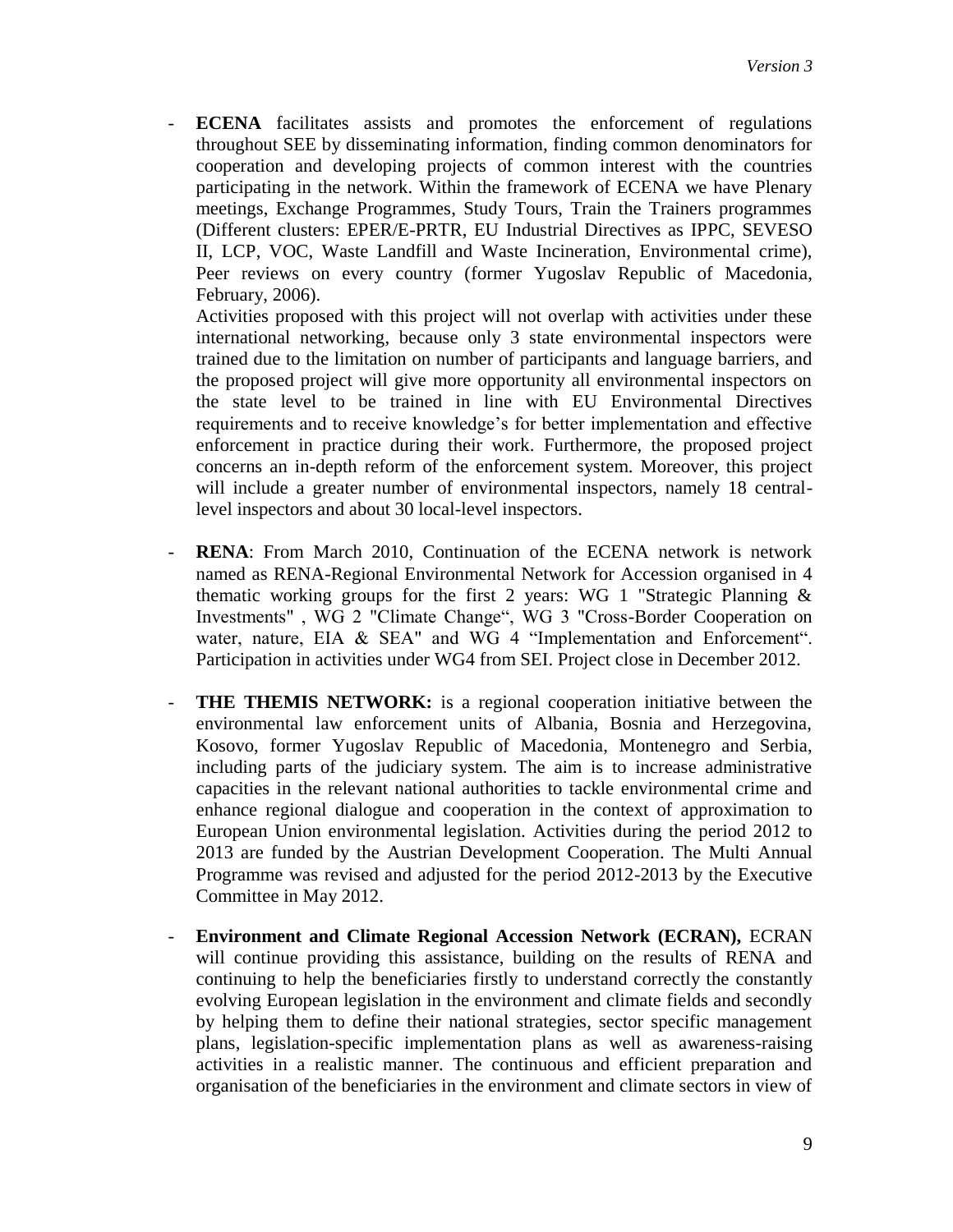- **ECENA** facilitates assists and promotes the enforcement of regulations throughout SEE by disseminating information, finding common denominators for cooperation and developing projects of common interest with the countries participating in the network. Within the framework of ECENA we have Plenary meetings, Exchange Programmes, Study Tours, Train the Trainers programmes (Different clusters: EPER/E-PRTR, EU Industrial Directives as IPPC, SEVESO II, LCP, VOC, Waste Landfill and Waste Incineration, Environmental crime), Peer reviews on every country (former Yugoslav Republic of Macedonia, February, 2006).

Activities proposed with this project will not overlap with activities under these international networking, because only 3 state environmental inspectors were trained due to the limitation on number of participants and language barriers, and the proposed project will give more opportunity all environmental inspectors on the state level to be trained in line with EU Environmental Directives requirements and to receive knowledge's for better implementation and effective enforcement in practice during their work. Furthermore, the proposed project concerns an in-depth reform of the enforcement system. Moreover, this project will include a greater number of environmental inspectors, namely 18 centrallevel inspectors and about 30 local-level inspectors.

- **RENA**: From March 2010, Continuation of the ECENA network is network named as RENA-Regional Environmental Network for Accession organised in 4 thematic working groups for the first 2 years: WG 1 "Strategic Planning  $\&$ Investments" , WG 2 "Climate Change", WG 3 "Cross-Border Cooperation on water, nature, EIA & SEA" and WG 4 "Implementation and Enforcement". Participation in activities under WG4 from SEI. Project close in December 2012.
- **THE THEMIS NETWORK:** is a regional cooperation initiative between the environmental law enforcement units of Albania, Bosnia and Herzegovina, Kosovo, former Yugoslav Republic of Macedonia, Montenegro and Serbia, including parts of the judiciary system. The aim is to increase administrative capacities in the relevant national authorities to tackle environmental crime and enhance regional dialogue and cooperation in the context of approximation to European Union environmental legislation. Activities during the period 2012 to 2013 are funded by the [Austrian Development Cooperation.](http://www.entwicklung.at/en/) The Multi Annual Programme was revised and adjusted for the period 2012-2013 by the Executive Committee in May 2012.
- **Environment and Climate Regional Accession Network (ECRAN),** ECRAN will continue providing this assistance, building on the results of RENA and continuing to help the beneficiaries firstly to understand correctly the constantly evolving European legislation in the environment and climate fields and secondly by helping them to define their national strategies, sector specific management plans, legislation-specific implementation plans as well as awareness-raising activities in a realistic manner. The continuous and efficient preparation and organisation of the beneficiaries in the environment and climate sectors in view of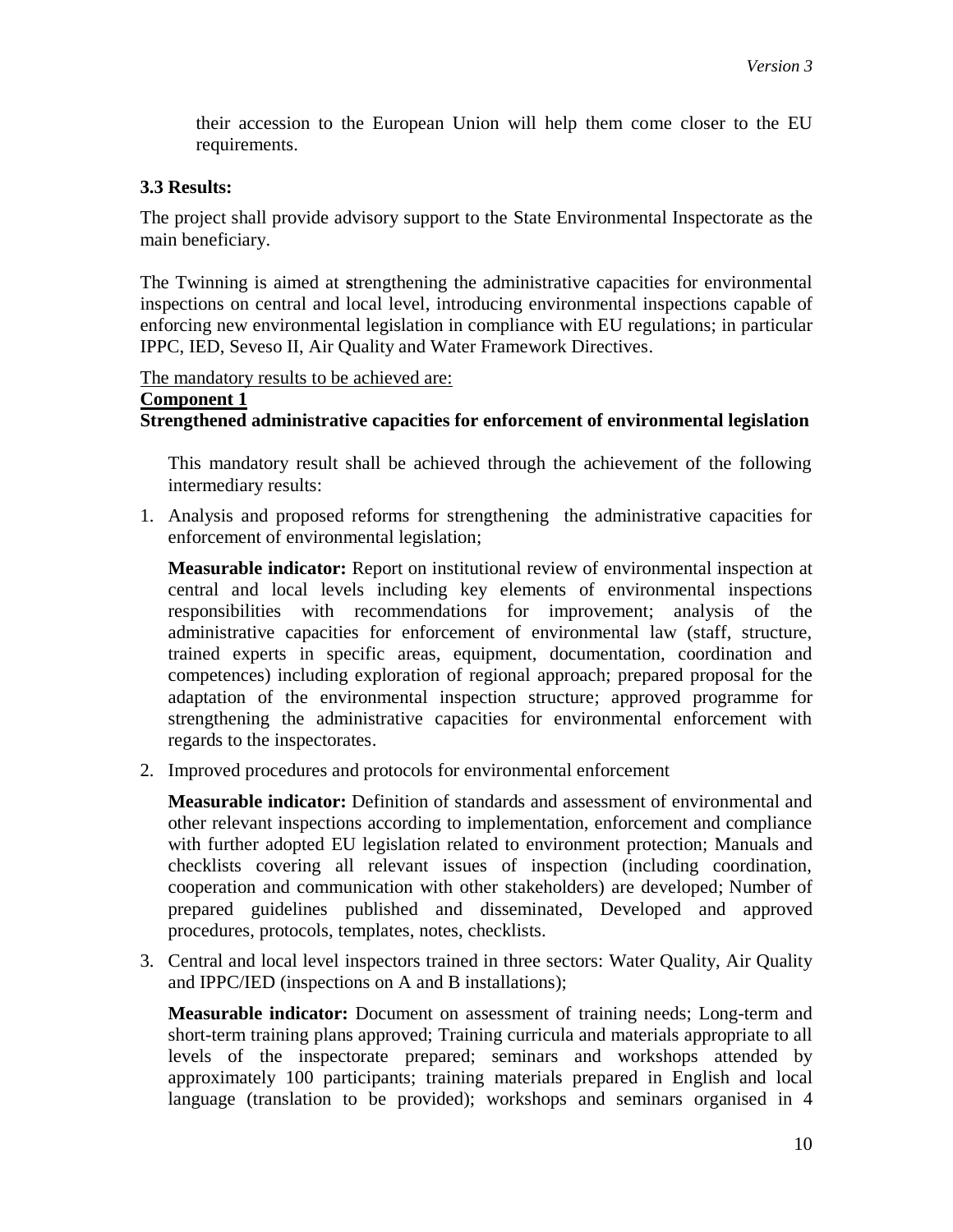their accession to the European Union will help them come closer to the EU requirements.

## **3.3 Results:**

The project shall provide advisory support to the State Environmental Inspectorate as the main beneficiary.

The Twinning is aimed at **s**trengthening the administrative capacities for environmental inspections on central and local level, introducing environmental inspections capable of enforcing new environmental legislation in compliance with EU regulations; in particular IPPC, IED, Seveso II, Air Quality and Water Framework Directives.

The mandatory results to be achieved are:

# **Component 1**

#### **Strengthened administrative capacities for enforcement of environmental legislation**

This mandatory result shall be achieved through the achievement of the following intermediary results:

1. Analysis and proposed reforms for strengthening the administrative capacities for enforcement of environmental legislation;

**Measurable indicator:** Report on institutional review of environmental inspection at central and local levels including key elements of environmental inspections responsibilities with recommendations for improvement; analysis of the administrative capacities for enforcement of environmental law (staff, structure, trained experts in specific areas, equipment, documentation, coordination and competences) including exploration of regional approach; prepared proposal for the adaptation of the environmental inspection structure; approved programme for strengthening the administrative capacities for environmental enforcement with regards to the inspectorates.

2. Improved procedures and protocols for environmental enforcement

**Measurable indicator:** Definition of standards and assessment of environmental and other relevant inspections according to implementation, enforcement and compliance with further adopted EU legislation related to environment protection; Manuals and checklists covering all relevant issues of inspection (including coordination, cooperation and communication with other stakeholders) are developed; Number of prepared guidelines published and disseminated, Developed and approved procedures, protocols, templates, notes, checklists.

3. Central and local level inspectors trained in three sectors: Water Quality, Air Quality and IPPC/IED (inspections on A and B installations);

**Measurable indicator:** Document on assessment of training needs; Long-term and short-term training plans approved; Training curricula and materials appropriate to all levels of the inspectorate prepared; seminars and workshops attended by approximately 100 participants; training materials prepared in English and local language (translation to be provided); workshops and seminars organised in 4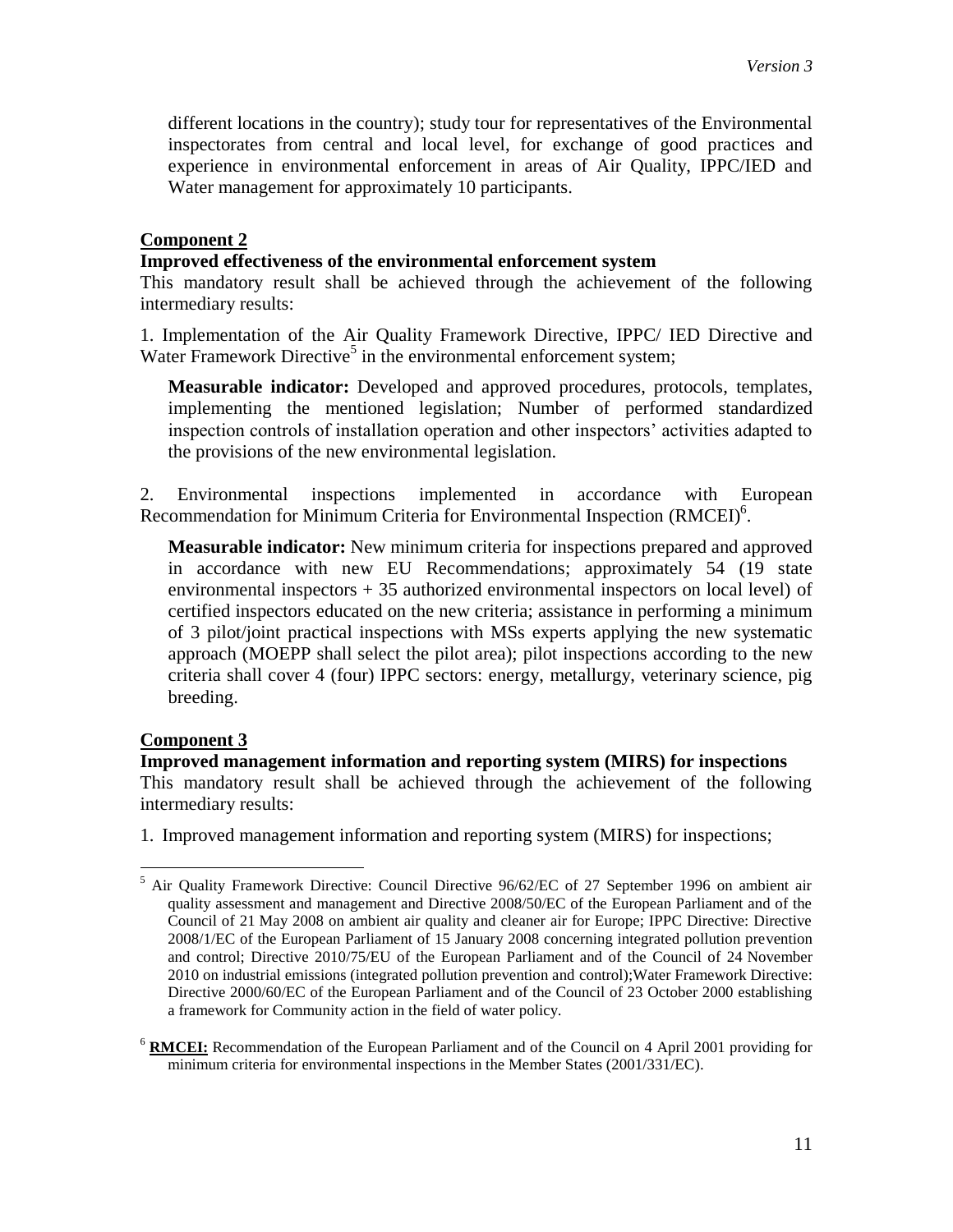different locations in the country); study tour for representatives of the Environmental inspectorates from central and local level, for exchange of good practices and experience in environmental enforcement in areas of Air Quality, IPPC/IED and Water management for approximately 10 participants.

#### **Component 2**

#### **Improved effectiveness of the environmental enforcement system**

This mandatory result shall be achieved through the achievement of the following intermediary results:

1. Implementation of the Air Quality Framework Directive, IPPC/ IED Directive and Water Framework Directive<sup>5</sup> in the environmental enforcement system;

**Measurable indicator:** Developed and approved procedures, protocols, templates, implementing the mentioned legislation; Number of performed standardized inspection controls of installation operation and other inspectors' activities adapted to the provisions of the new environmental legislation.

2. Environmental inspections implemented in accordance with European Recommendation for Minimum Criteria for Environmental Inspection (RMCEI)<sup>6</sup>.

**Measurable indicator:** New minimum criteria for inspections prepared and approved in accordance with new EU Recommendations; approximately 54 (19 state environmental inspectors + 35 authorized environmental inspectors on local level) of certified inspectors educated on the new criteria; assistance in performing a minimum of 3 pilot/joint practical inspections with MSs experts applying the new systematic approach (MOEPP shall select the pilot area); pilot inspections according to the new criteria shall cover 4 (four) IPPC sectors: energy, metallurgy, veterinary science, pig breeding.

#### **Component 3**

 $\overline{a}$ 

## **Improved management information and reporting system (MIRS) for inspections**  This mandatory result shall be achieved through the achievement of the following intermediary results:

1. Improved management information and reporting system (MIRS) for inspections;

 $<sup>5</sup>$  Air Quality Framework Directive: Council Directive 96/62/EC of 27 September 1996 on ambient air</sup> quality assessment and management and Directive 2008/50/EC of the European Parliament and of the Council of 21 May 2008 on ambient air quality and cleaner air for Europe; IPPC Directive: Directive 2008/1/EC of the European Parliament of 15 January 2008 concerning integrated pollution prevention and control; Directive 2010/75/EU of the European Parliament and of the Council of 24 November 2010 on industrial emissions (integrated pollution prevention and control);Water Framework Directive: Directive 2000/60/EC of the European Parliament and of the Council of 23 October 2000 establishing a framework for Community action in the field of water policy.

<sup>6</sup> **RMCEI:** Recommendation of the European Parliament and of the Council on 4 April 2001 providing for minimum criteria for environmental inspections in the Member States (2001/331/EC).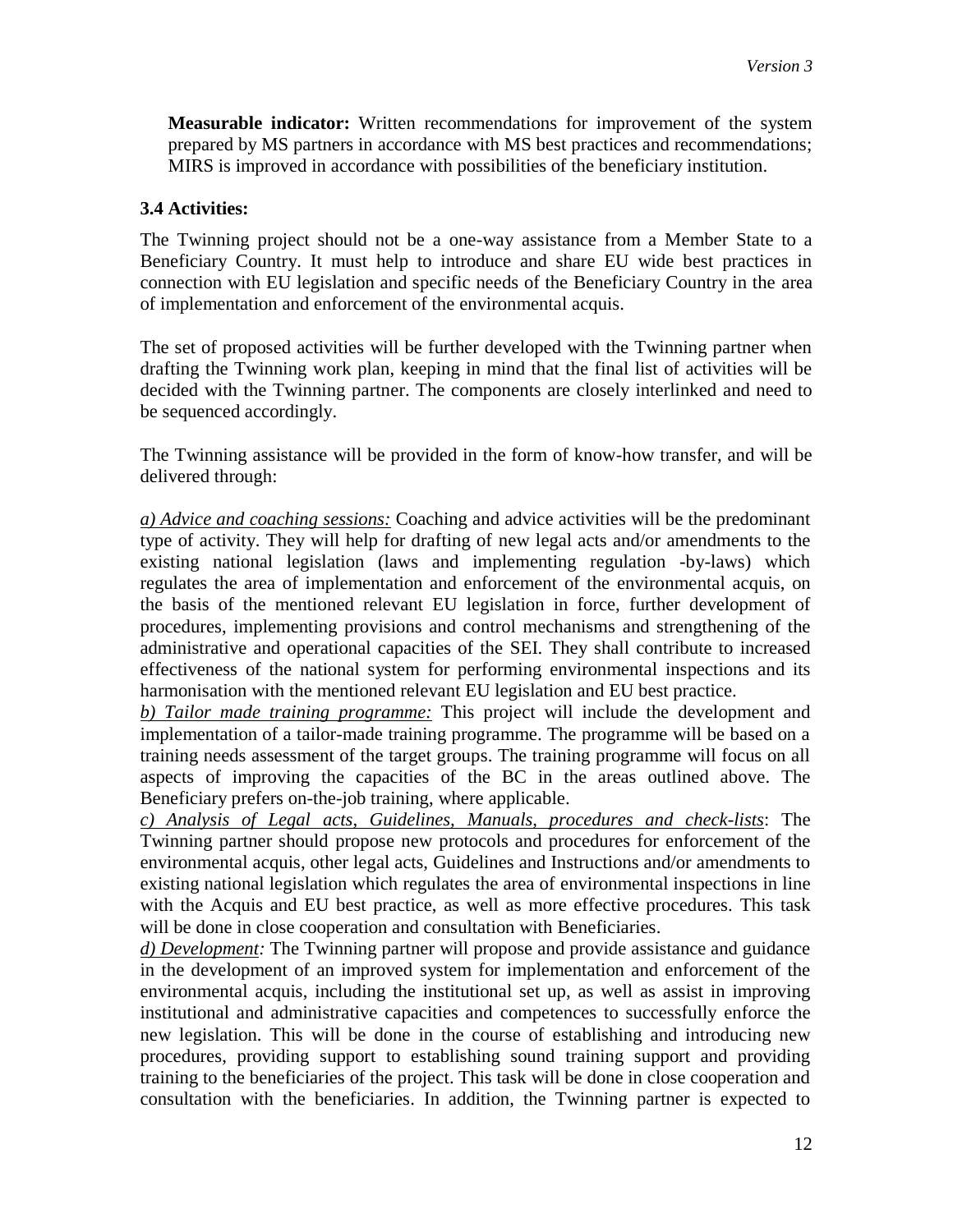**Measurable indicator:** Written recommendations for improvement of the system prepared by MS partners in accordance with MS best practices and recommendations; MIRS is improved in accordance with possibilities of the beneficiary institution.

## **3.4 Activities:**

The Twinning project should not be a one-way assistance from a Member State to a Beneficiary Country. It must help to introduce and share EU wide best practices in connection with EU legislation and specific needs of the Beneficiary Country in the area of implementation and enforcement of the environmental acquis.

The set of proposed activities will be further developed with the Twinning partner when drafting the Twinning work plan, keeping in mind that the final list of activities will be decided with the Twinning partner. The components are closely interlinked and need to be sequenced accordingly.

The Twinning assistance will be provided in the form of know-how transfer, and will be delivered through:

*a) Advice and coaching sessions:* Coaching and advice activities will be the predominant type of activity. They will help for drafting of new legal acts and/or amendments to the existing national legislation (laws and implementing regulation -by-laws) which regulates the area of implementation and enforcement of the environmental acquis, on the basis of the mentioned relevant EU legislation in force, further development of procedures, implementing provisions and control mechanisms and strengthening of the administrative and operational capacities of the SEI. They shall contribute to increased effectiveness of the national system for performing environmental inspections and its harmonisation with the mentioned relevant EU legislation and EU best practice.

*b) Tailor made training programme:* This project will include the development and implementation of a tailor-made training programme. The programme will be based on a training needs assessment of the target groups. The training programme will focus on all aspects of improving the capacities of the BC in the areas outlined above. The Beneficiary prefers on-the-job training, where applicable.

*c) Analysis of Legal acts, Guidelines, Manuals, procedures and check-lists*: The Twinning partner should propose new protocols and procedures for enforcement of the environmental acquis, other legal acts, Guidelines and Instructions and/or amendments to existing national legislation which regulates the area of environmental inspections in line with the Acquis and EU best practice, as well as more effective procedures. This task will be done in close cooperation and consultation with Beneficiaries.

*d) Development:* The Twinning partner will propose and provide assistance and guidance in the development of an improved system for implementation and enforcement of the environmental acquis, including the institutional set up, as well as assist in improving institutional and administrative capacities and competences to successfully enforce the new legislation. This will be done in the course of establishing and introducing new procedures, providing support to establishing sound training support and providing training to the beneficiaries of the project. This task will be done in close cooperation and consultation with the beneficiaries. In addition, the Twinning partner is expected to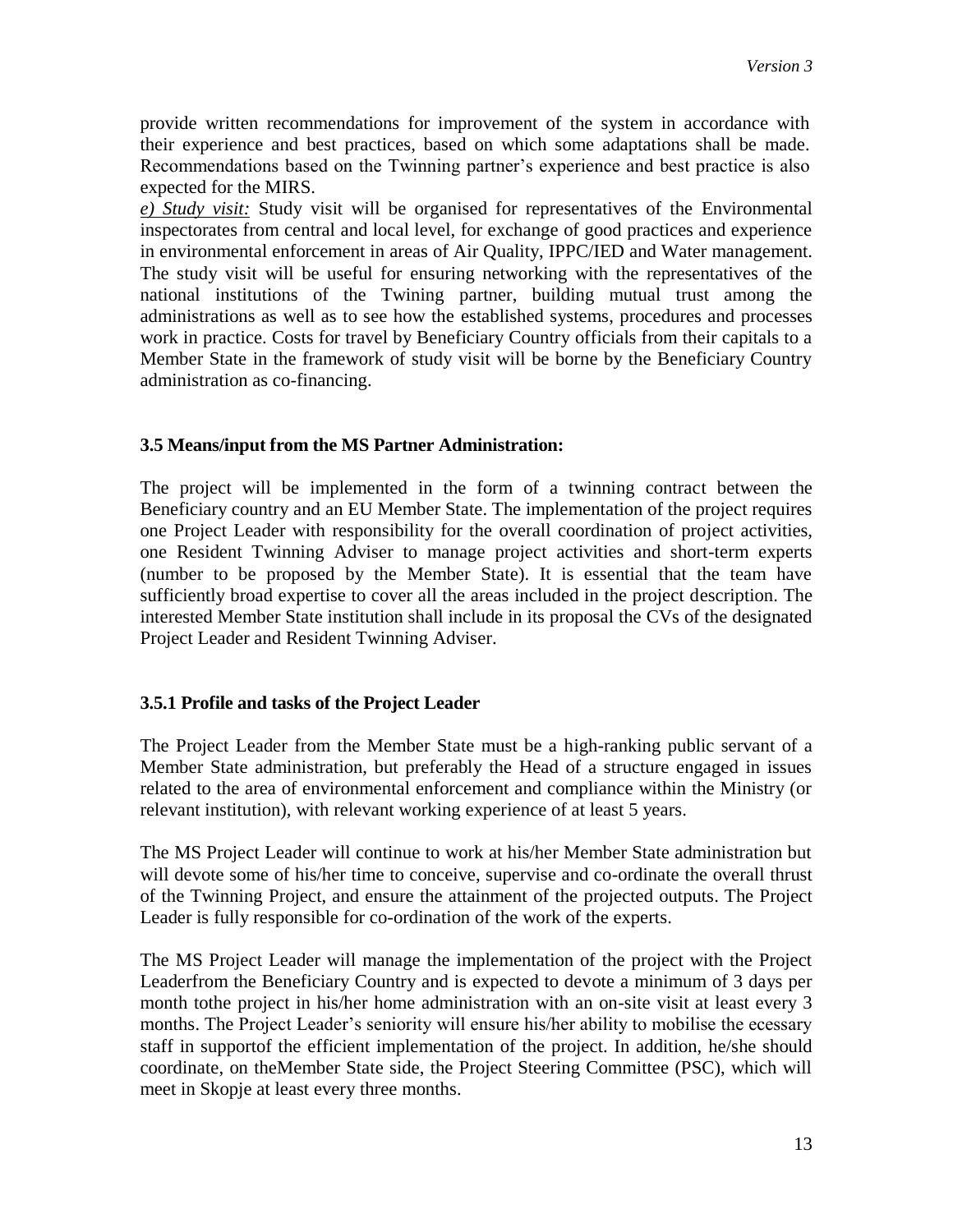provide written recommendations for improvement of the system in accordance with their experience and best practices, based on which some adaptations shall be made. Recommendations based on the Twinning partner's experience and best practice is also expected for the MIRS.

*e) Study visit:* Study visit will be organised for representatives of the Environmental inspectorates from central and local level, for exchange of good practices and experience in environmental enforcement in areas of Air Quality, IPPC/IED and Water management. The study visit will be useful for ensuring networking with the representatives of the national institutions of the Twining partner, building mutual trust among the administrations as well as to see how the established systems, procedures and processes work in practice. Costs for travel by Beneficiary Country officials from their capitals to a Member State in the framework of study visit will be borne by the Beneficiary Country administration as co-financing.

#### **3.5 Means/input from the MS Partner Administration:**

The project will be implemented in the form of a twinning contract between the Beneficiary country and an EU Member State. The implementation of the project requires one Project Leader with responsibility for the overall coordination of project activities, one Resident Twinning Adviser to manage project activities and short-term experts (number to be proposed by the Member State). It is essential that the team have sufficiently broad expertise to cover all the areas included in the project description. The interested Member State institution shall include in its proposal the CVs of the designated Project Leader and Resident Twinning Adviser.

# **3.5.1 Profile and tasks of the Project Leader**

The Project Leader from the Member State must be a high-ranking public servant of a Member State administration, but preferably the Head of a structure engaged in issues related to the area of environmental enforcement and compliance within the Ministry (or relevant institution), with relevant working experience of at least 5 years.

The MS Project Leader will continue to work at his/her Member State administration but will devote some of his/her time to conceive, supervise and co-ordinate the overall thrust of the Twinning Project, and ensure the attainment of the projected outputs. The Project Leader is fully responsible for co-ordination of the work of the experts.

The MS Project Leader will manage the implementation of the project with the Project Leaderfrom the Beneficiary Country and is expected to devote a minimum of 3 days per month tothe project in his/her home administration with an on-site visit at least every 3 months. The Project Leader's seniority will ensure his/her ability to mobilise the ecessary staff in supportof the efficient implementation of the project. In addition, he/she should coordinate, on theMember State side, the Project Steering Committee (PSC), which will meet in Skopje at least every three months.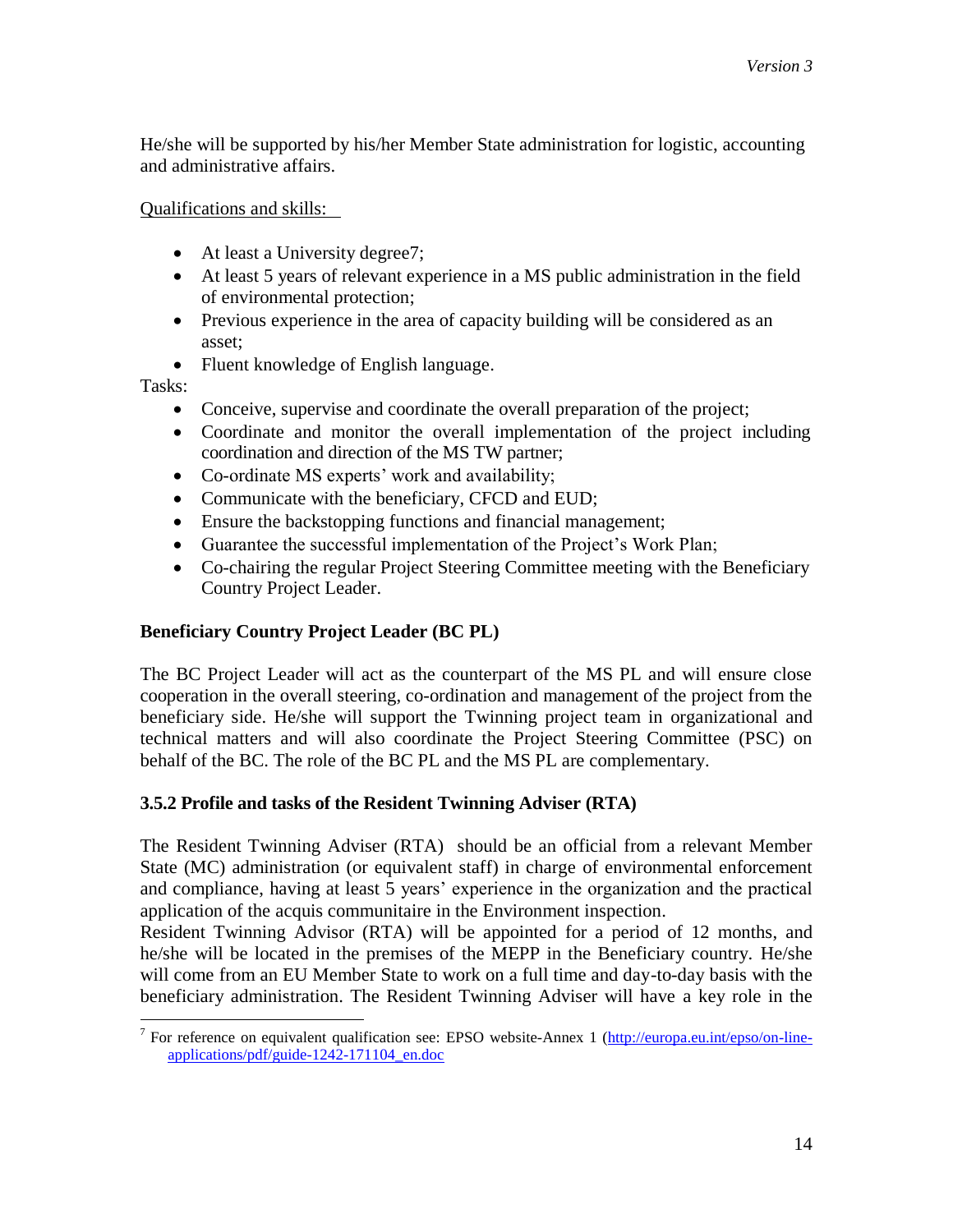He/she will be supported by his/her Member State administration for logistic, accounting and administrative affairs.

Qualifications and skills:

- At least a University degree7;
- At least 5 years of relevant experience in a MS public administration in the field of environmental protection;
- Previous experience in the area of capacity building will be considered as an asset;
- Fluent knowledge of English language.

Tasks:

- Conceive, supervise and coordinate the overall preparation of the project;
- Coordinate and monitor the overall implementation of the project including coordination and direction of the MS TW partner;
- Co-ordinate MS experts' work and availability;
- Communicate with the beneficiary, CFCD and EUD;
- Ensure the backstopping functions and financial management;
- Guarantee the successful implementation of the Project's Work Plan;
- Co-chairing the regular Project Steering Committee meeting with the Beneficiary Country Project Leader.

# **Beneficiary Country Project Leader (BC PL)**

The BC Project Leader will act as the counterpart of the MS PL and will ensure close cooperation in the overall steering, co-ordination and management of the project from the beneficiary side. He/she will support the Twinning project team in organizational and technical matters and will also coordinate the Project Steering Committee (PSC) on behalf of the BC. The role of the BC PL and the MS PL are complementary.

# **3.5.2 Profile and tasks of the Resident Twinning Adviser (RTA)**

The Resident Twinning Adviser (RTA) should be an official from a relevant Member State (MC) administration (or equivalent staff) in charge of environmental enforcement and compliance, having at least 5 years' experience in the organization and the practical application of the acquis communitaire in the Environment inspection.

Resident Twinning Advisor (RTA) will be appointed for a period of 12 months, and he/she will be located in the premises of the MEPP in the Beneficiary country. He/she will come from an EU Member State to work on a full time and day-to-day basis with the beneficiary administration. The Resident Twinning Adviser will have a key role in the

<sup>&</sup>lt;sup>7</sup> For reference on equivalent qualification see: EPSO website-Annex 1 [\(http://europa.eu.int/epso/on-line](http://europa.eu.int/epso/on-line-applications/pdf/guide-1242-171104_en.doc)[applications/pdf/guide-1242-171104\\_en.doc](http://europa.eu.int/epso/on-line-applications/pdf/guide-1242-171104_en.doc)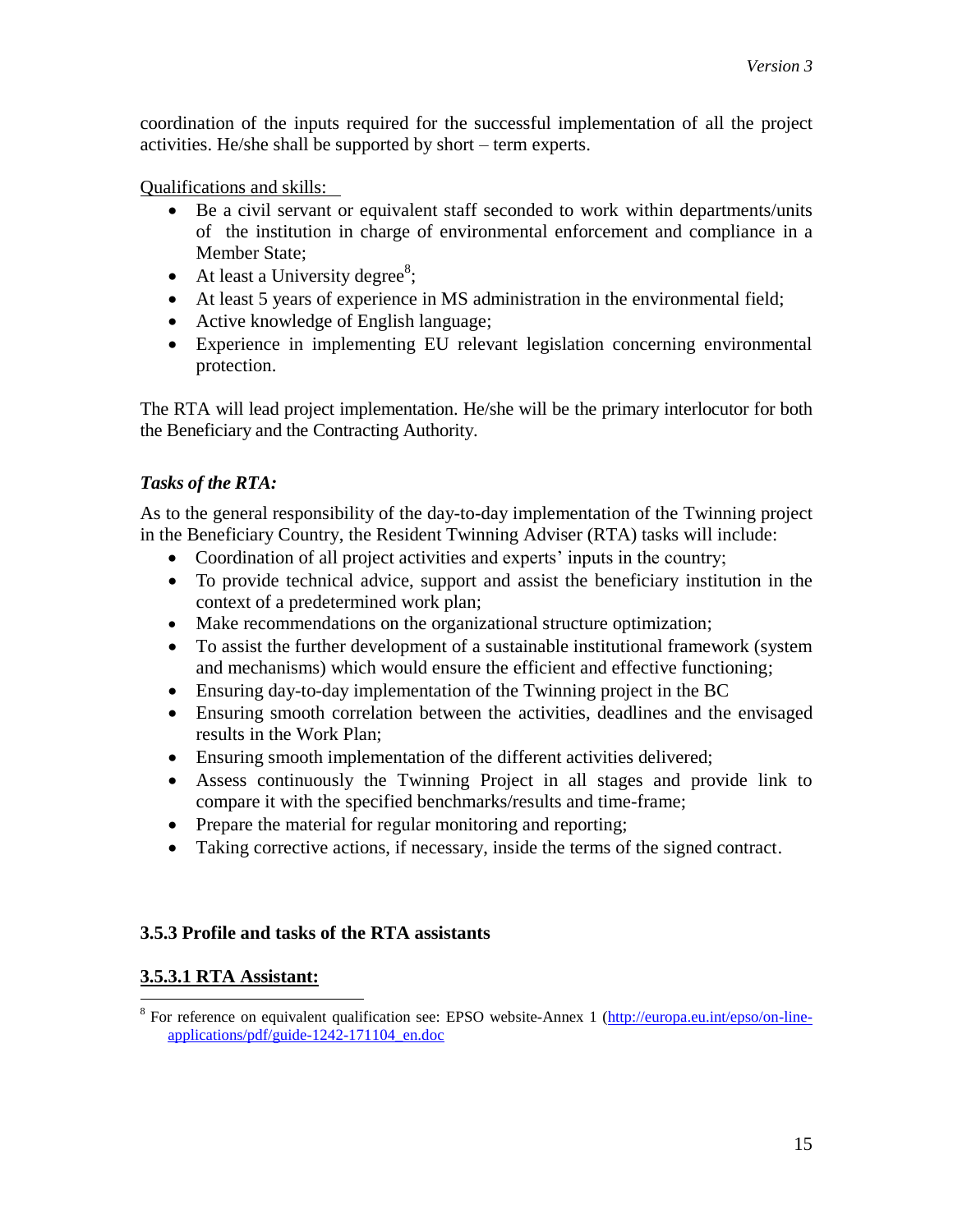coordination of the inputs required for the successful implementation of all the project activities. He/she shall be supported by short – term experts.

Qualifications and skills:

- Be a civil servant or equivalent staff seconded to work within departments/units of the institution in charge of environmental enforcement and compliance in a Member State;
- At least a University degree<sup>8</sup>;
- At least 5 years of experience in MS administration in the environmental field;
- Active knowledge of English language;
- Experience in implementing EU relevant legislation concerning environmental protection.

The RTA will lead project implementation. He/she will be the primary interlocutor for both the Beneficiary and the Contracting Authority.

# *Tasks of the RTA:*

As to the general responsibility of the day-to-day implementation of the Twinning project in the Beneficiary Country, the Resident Twinning Adviser (RTA) tasks will include:

- Coordination of all project activities and experts' inputs in the country;
- To provide technical advice, support and assist the beneficiary institution in the context of a predetermined work plan;
- Make recommendations on the organizational structure optimization;
- To assist the further development of a sustainable institutional framework (system and mechanisms) which would ensure the efficient and effective functioning;
- Ensuring day-to-day implementation of the Twinning project in the BC
- Ensuring smooth correlation between the activities, deadlines and the envisaged results in the Work Plan;
- Ensuring smooth implementation of the different activities delivered;
- Assess continuously the Twinning Project in all stages and provide link to compare it with the specified benchmarks/results and time-frame;
- Prepare the material for regular monitoring and reporting;
- Taking corrective actions, if necessary, inside the terms of the signed contract.

# **3.5.3 Profile and tasks of the RTA assistants**

# **3.5.3.1 RTA Assistant:**

 $\overline{a}$ <sup>8</sup> For reference on equivalent qualification see: EPSO website-Annex 1 [\(http://europa.eu.int/epso/on-line](http://europa.eu.int/epso/on-line-applications/pdf/guide-1242-171104_en.doc)[applications/pdf/guide-1242-171104\\_en.doc](http://europa.eu.int/epso/on-line-applications/pdf/guide-1242-171104_en.doc)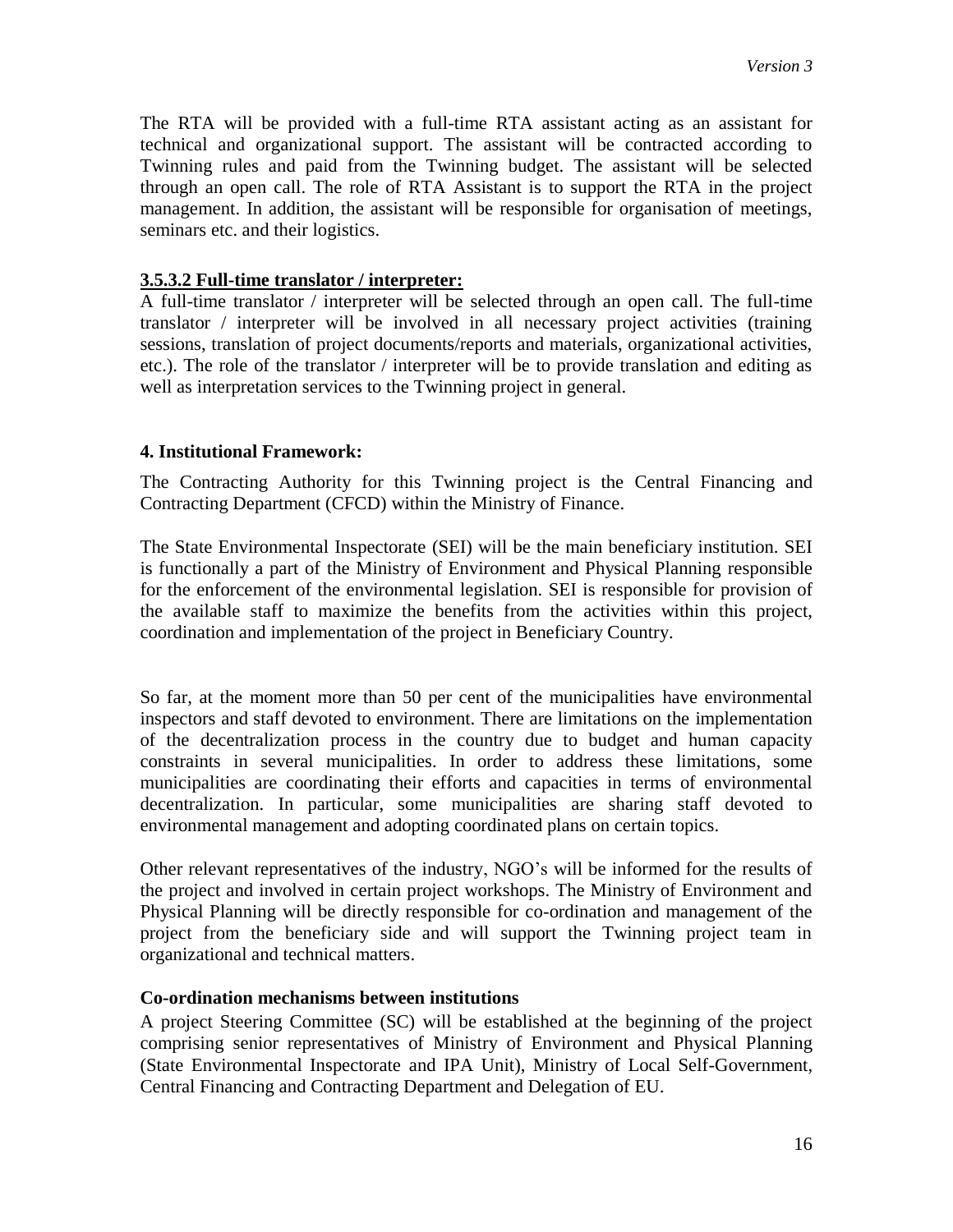The RTA will be provided with a full-time RTA assistant acting as an assistant for technical and organizational support. The assistant will be contracted according to Twinning rules and paid from the Twinning budget. The assistant will be selected through an open call. The role of RTA Assistant is to support the RTA in the project management. In addition, the assistant will be responsible for organisation of meetings, seminars etc. and their logistics.

## **3.5.3.2 Full-time translator / interpreter:**

A full-time translator / interpreter will be selected through an open call. The full-time translator / interpreter will be involved in all necessary project activities (training sessions, translation of project documents/reports and materials, organizational activities, etc.). The role of the translator / interpreter will be to provide translation and editing as well as interpretation services to the Twinning project in general.

## **4. Institutional Framework:**

The Contracting Authority for this Twinning project is the Central Financing and Contracting Department (CFCD) within the Ministry of Finance.

The State Environmental Inspectorate (SEI) will be the main beneficiary institution. SEI is functionally a part of the Ministry of Environment and Physical Planning responsible for the enforcement of the environmental legislation. SEI is responsible for provision of the available staff to maximize the benefits from the activities within this project, coordination and implementation of the project in Beneficiary Country.

So far, at the moment more than 50 per cent of the municipalities have environmental inspectors and staff devoted to environment. There are limitations on the implementation of the decentralization process in the country due to budget and human capacity constraints in several municipalities. In order to address these limitations, some municipalities are coordinating their efforts and capacities in terms of environmental decentralization. In particular, some municipalities are sharing staff devoted to environmental management and adopting coordinated plans on certain topics.

Other relevant representatives of the industry, NGO's will be informed for the results of the project and involved in certain project workshops. The Ministry of Environment and Physical Planning will be directly responsible for co-ordination and management of the project from the beneficiary side and will support the Twinning project team in organizational and technical matters.

#### **Co-ordination mechanisms between institutions**

A project Steering Committee (SC) will be established at the beginning of the project comprising senior representatives of Ministry of Environment and Physical Planning (State Environmental Inspectorate and IPA Unit), Ministry of Local Self-Government, Central Financing and Contracting Department and Delegation of EU.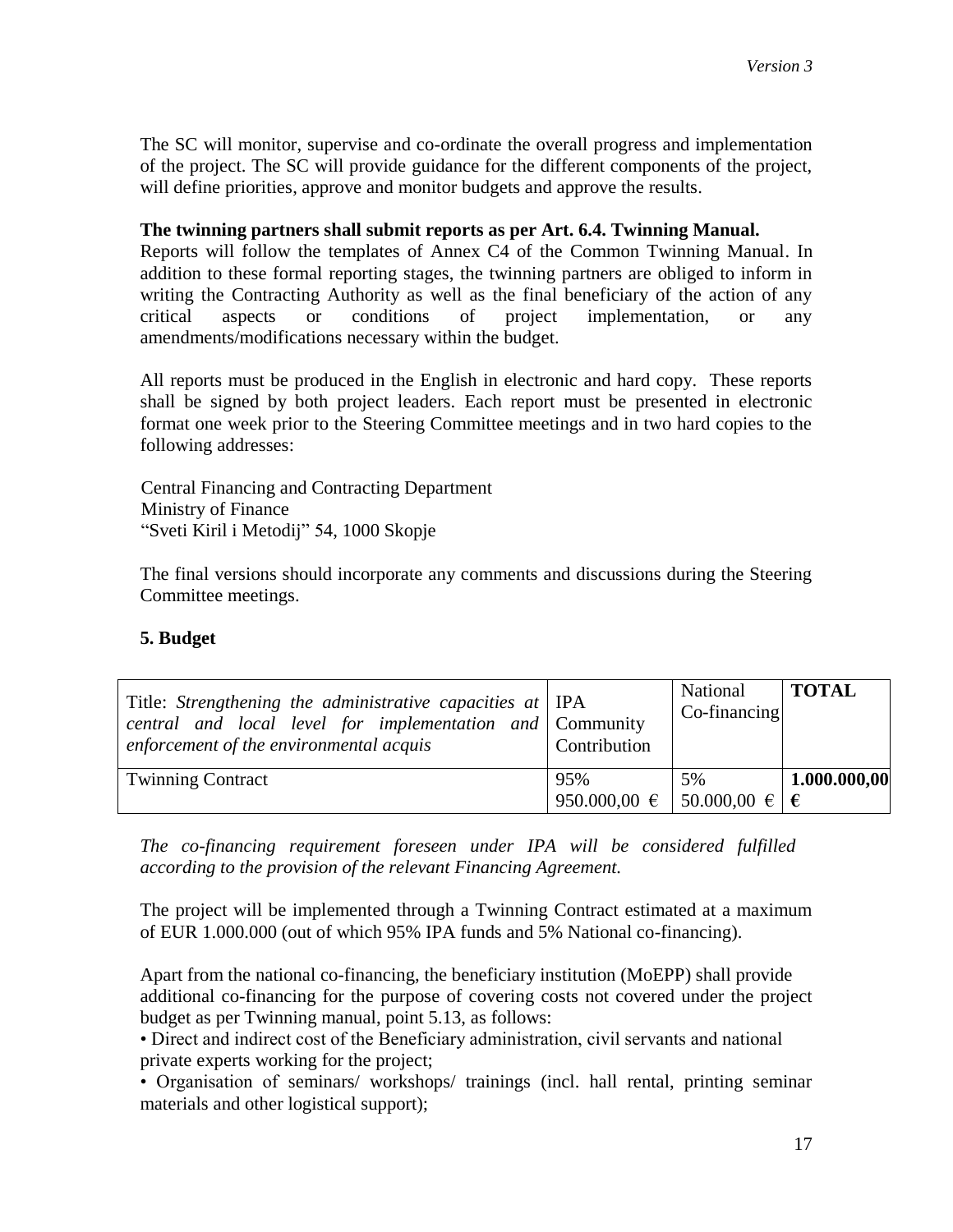The SC will monitor, supervise and co-ordinate the overall progress and implementation of the project. The SC will provide guidance for the different components of the project, will define priorities, approve and monitor budgets and approve the results.

## **The twinning partners shall submit reports as per Art. 6.4. Twinning Manual.**

Reports will follow the templates of Annex C4 of the Common Twinning Manual. In addition to these formal reporting stages, the twinning partners are obliged to inform in writing the Contracting Authority as well as the final beneficiary of the action of any critical aspects or conditions of project implementation, or any amendments/modifications necessary within the budget.

All reports must be produced in the English in electronic and hard copy. These reports shall be signed by both project leaders. Each report must be presented in electronic format one week prior to the Steering Committee meetings and in two hard copies to the following addresses:

Central Financing and Contracting Department Ministry of Finance "Sveti Kiril i Metodij" 54, 1000 Skopje

The final versions should incorporate any comments and discussions during the Steering Committee meetings.

#### **5. Budget**

| Title: Strengthening the administrative capacities at IPA<br>central and local level for implementation and Community<br>enforcement of the environmental acquis | Contribution                   | National<br>$Co-financing$ | <b>TOTAL</b> |
|------------------------------------------------------------------------------------------------------------------------------------------------------------------|--------------------------------|----------------------------|--------------|
| <b>Twinning Contract</b>                                                                                                                                         | 95%                            | 5%                         | 1.000.000,00 |
|                                                                                                                                                                  | 950.000,00 €   50.000,00 €   € |                            |              |

*The co-financing requirement foreseen under IPA will be considered fulfilled according to the provision of the relevant Financing Agreement.*

The project will be implemented through a Twinning Contract estimated at a maximum of EUR 1.000.000 (out of which 95% IPA funds and 5% National co-financing).

Apart from the national co-financing, the beneficiary institution (MoEPP) shall provide additional co-financing for the purpose of covering costs not covered under the project budget as per Twinning manual, point 5.13, as follows:

• Direct and indirect cost of the Beneficiary administration, civil servants and national private experts working for the project;

• Organisation of seminars/ workshops/ trainings (incl. hall rental, printing seminar materials and other logistical support);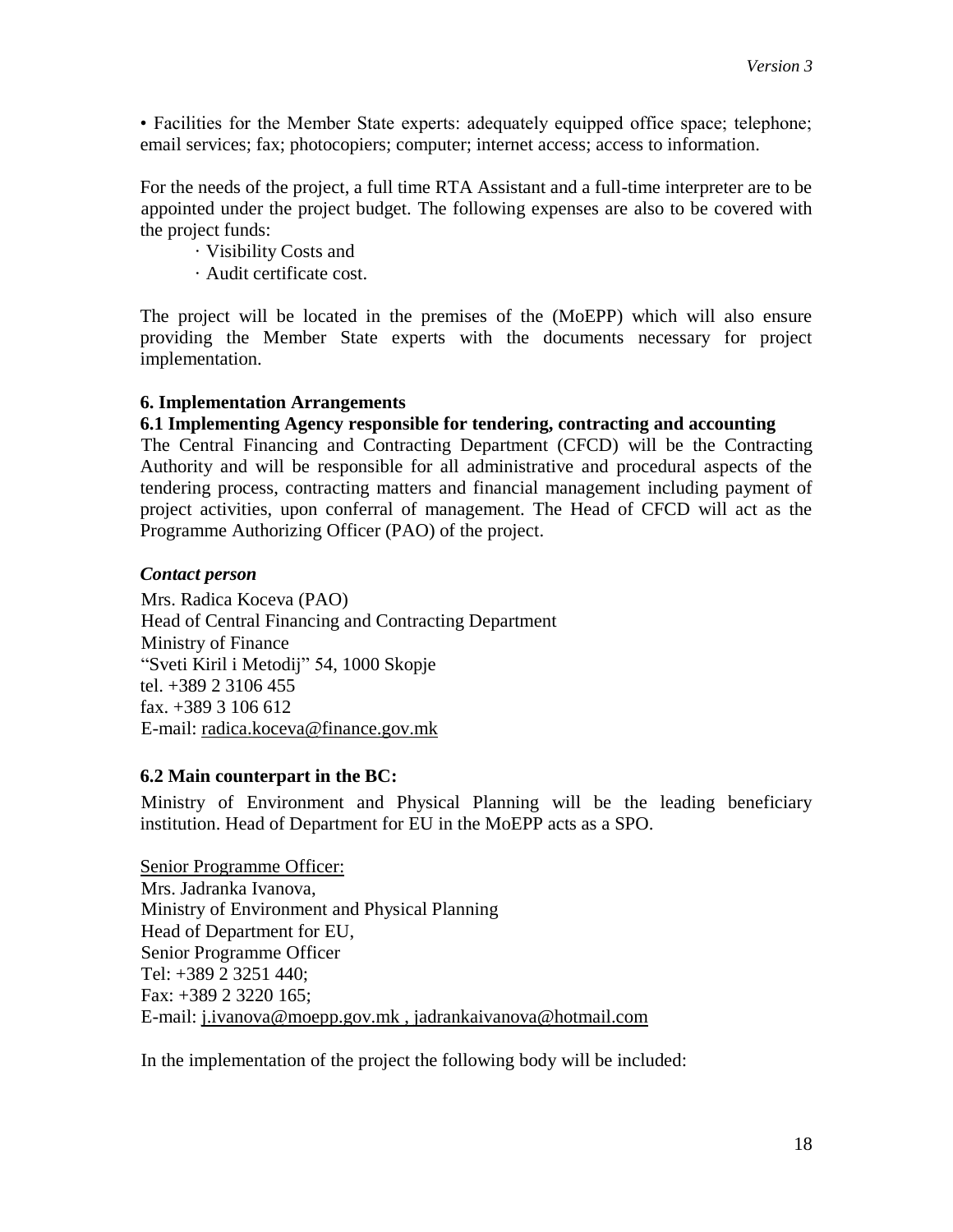• Facilities for the Member State experts: adequately equipped office space; telephone; email services; fax; photocopiers; computer; internet access; access to information.

For the needs of the project, a full time RTA Assistant and a full-time interpreter are to be appointed under the project budget. The following expenses are also to be covered with the project funds:

· Visibility Costs and

· Audit certificate cost.

The project will be located in the premises of the (MoEPP) which will also ensure providing the Member State experts with the documents necessary for project implementation.

## **6. Implementation Arrangements**

## **6.1 Implementing Agency responsible for tendering, contracting and accounting**

The Central Financing and Contracting Department (CFCD) will be the Contracting Authority and will be responsible for all administrative and procedural aspects of the tendering process, contracting matters and financial management including payment of project activities, upon conferral of management. The Head of CFCD will act as the Programme Authorizing Officer (PAO) of the project.

## *Contact person*

Mrs. Radica Koceva (PAO) Head of Central Financing and Contracting Department Ministry of Finance "Sveti Kiril i Metodij" 54, 1000 Skopje tel. +389 2 3106 455 fax. +389 3 106 612 E-mail: [radica.koceva@finance.gov.mk](mailto:radica.koceva@finance.gov.mk)

# **6.2 Main counterpart in the BC:**

Ministry of Environment and Physical Planning will be the leading beneficiary institution. Head of Department for EU in the MoEPP acts as a SPO.

Senior Programme Officer: Mrs. Jadranka Ivanova, Ministry of Environment and Physical Planning Head of Department for EU, Senior Programme Officer Tel: +389 2 3251 440; Fax: +389 2 3220 165; E-mail: [j.ivanova@moepp.gov.mk](mailto:d.jantinska@moepp.gov.mk) , jadrankaivanova@hotmail.com

In the implementation of the project the following body will be included: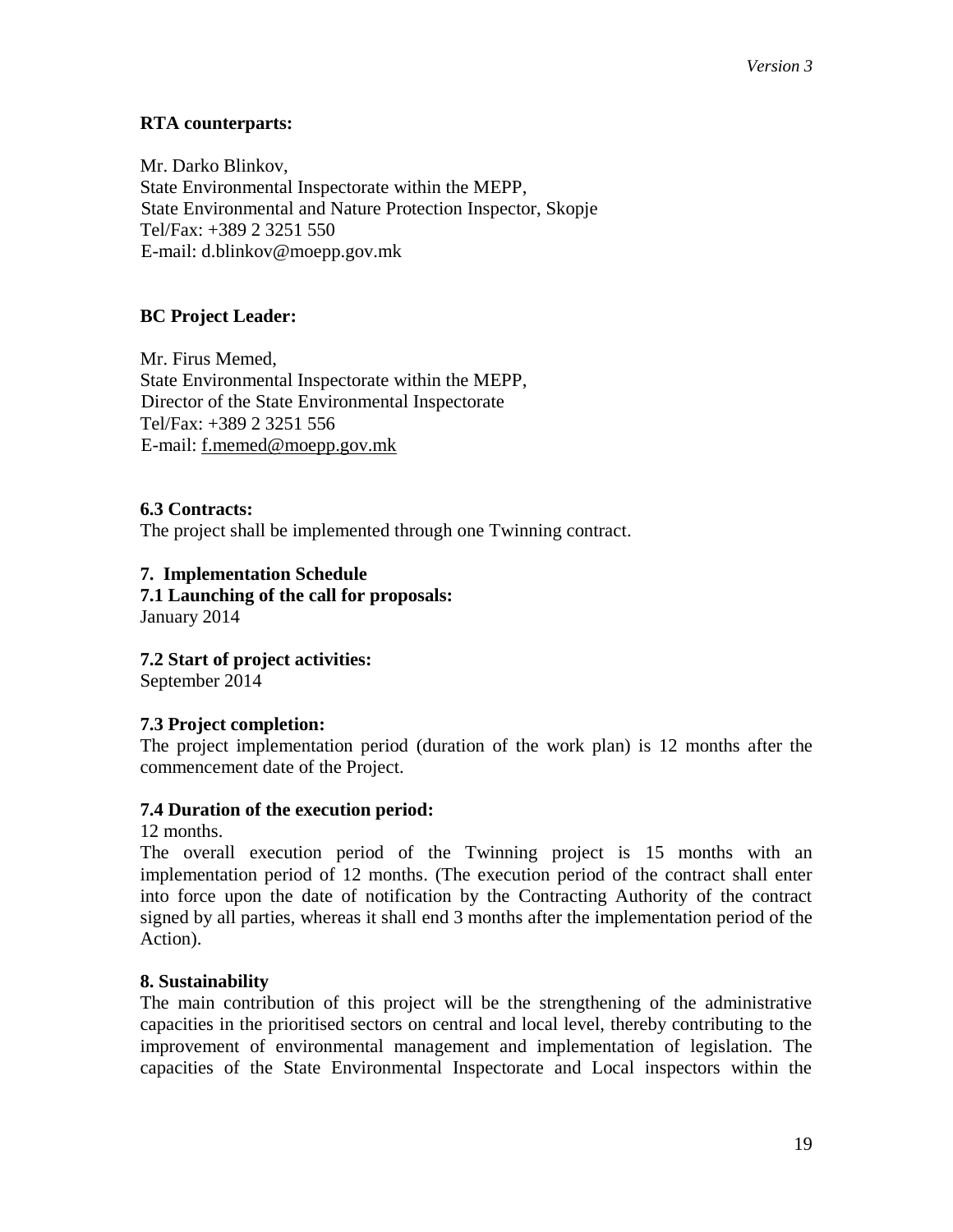# **RTA counterparts:**

Mr. Darko Blinkov, State Environmental Inspectorate within the MEPP, State Environmental and Nature Protection Inspector, Skopje Tel/Fax: +389 2 3251 550 E-mail: [d.blinkov@moepp.gov.mk](mailto:d.blinkov@moepp.gov.mk)

# **BC Project Leader:**

Mr. Firus Memed, State Environmental Inspectorate within the MEPP, Director of the State Environmental Inspectorate Tel/Fax: +389 2 3251 556 E-mail: [f.memed@moepp.gov.mk](mailto:f.memed@moepp.gov.mk)

# **6.3 Contracts:**

The project shall be implemented through one Twinning contract.

#### **7. Implementation Schedule 7.1 Launching of the call for proposals:**  January 2014

**7.2 Start of project activities:**  September 2014

# **7.3 Project completion:**

The project implementation period (duration of the work plan) is 12 months after the commencement date of the Project.

# **7.4 Duration of the execution period:**

12 months.

The overall execution period of the Twinning project is 15 months with an implementation period of 12 months. (The execution period of the contract shall enter into force upon the date of notification by the Contracting Authority of the contract signed by all parties, whereas it shall end 3 months after the implementation period of the Action).

# **8. Sustainability**

The main contribution of this project will be the strengthening of the administrative capacities in the prioritised sectors on central and local level, thereby contributing to the improvement of environmental management and implementation of legislation. The capacities of the State Environmental Inspectorate and Local inspectors within the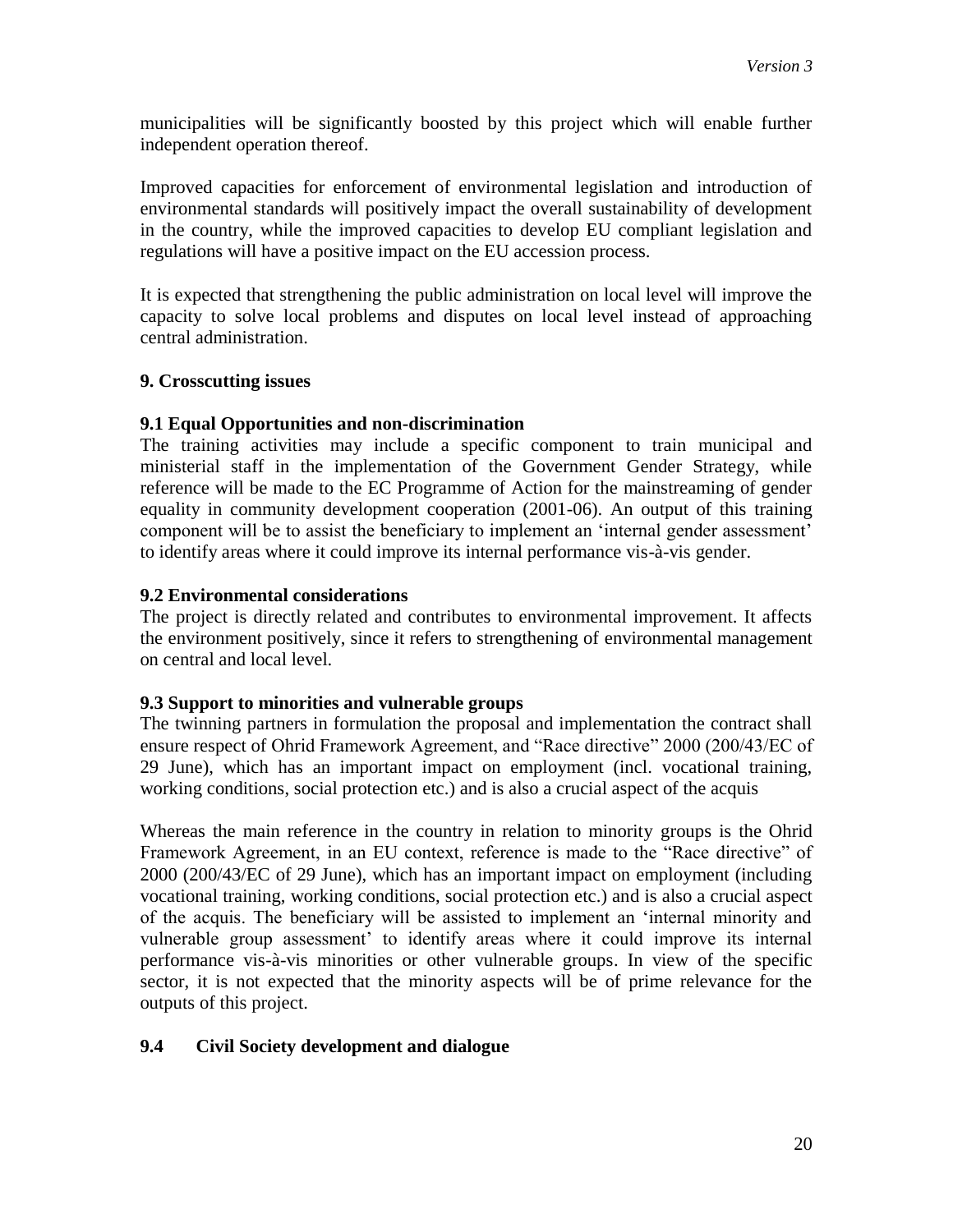municipalities will be significantly boosted by this project which will enable further independent operation thereof.

Improved capacities for enforcement of environmental legislation and introduction of environmental standards will positively impact the overall sustainability of development in the country, while the improved capacities to develop EU compliant legislation and regulations will have a positive impact on the EU accession process.

It is expected that strengthening the public administration on local level will improve the capacity to solve local problems and disputes on local level instead of approaching central administration.

## **9. Crosscutting issues**

## **9.1 Equal Opportunities and non-discrimination**

The training activities may include a specific component to train municipal and ministerial staff in the implementation of the Government Gender Strategy, while reference will be made to the EC Programme of Action for the mainstreaming of gender equality in community development cooperation (2001-06). An output of this training component will be to assist the beneficiary to implement an 'internal gender assessment' to identify areas where it could improve its internal performance vis-à-vis gender.

## **9.2 Environmental considerations**

The project is directly related and contributes to environmental improvement. It affects the environment positively, since it refers to strengthening of environmental management on central and local level.

#### **9.3 Support to minorities and vulnerable groups**

The twinning partners in formulation the proposal and implementation the contract shall ensure respect of Ohrid Framework Agreement, and "Race directive" 2000 (200/43/EC of 29 June), which has an important impact on employment (incl. vocational training, working conditions, social protection etc.) and is also a crucial aspect of the acquis

Whereas the main reference in the country in relation to minority groups is the Ohrid Framework Agreement, in an EU context, reference is made to the "Race directive" of 2000 (200/43/EC of 29 June), which has an important impact on employment (including vocational training, working conditions, social protection etc.) and is also a crucial aspect of the acquis. The beneficiary will be assisted to implement an 'internal minority and vulnerable group assessment' to identify areas where it could improve its internal performance vis-à-vis minorities or other vulnerable groups. In view of the specific sector, it is not expected that the minority aspects will be of prime relevance for the outputs of this project.

# **9.4 Civil Society development and dialogue**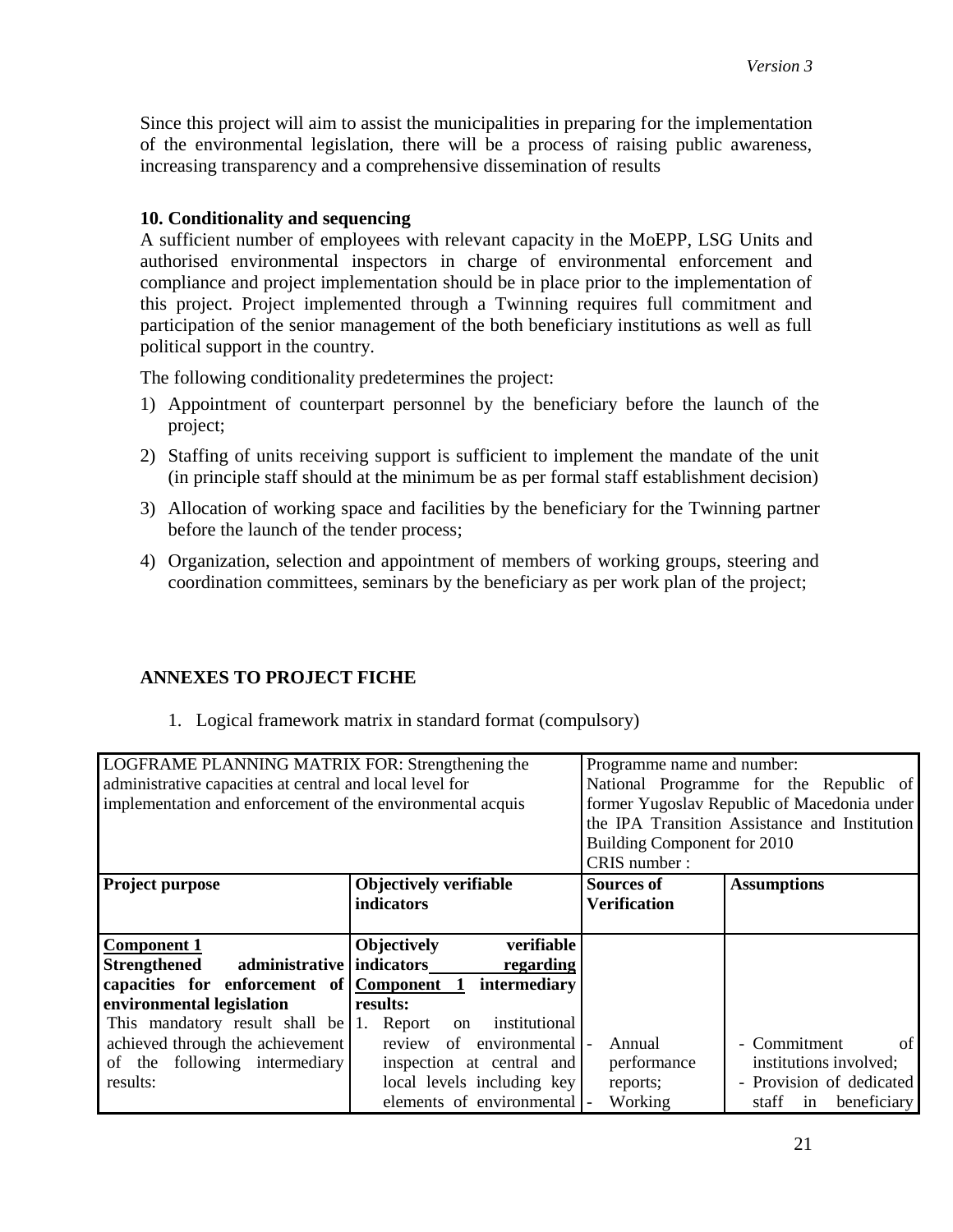Since this project will aim to assist the municipalities in preparing for the implementation of the environmental legislation, there will be a process of raising public awareness, increasing transparency and a comprehensive dissemination of results

## **10. Conditionality and sequencing**

A sufficient number of employees with relevant capacity in the MoEPP, LSG Units and authorised environmental inspectors in charge of environmental enforcement and compliance and project implementation should be in place prior to the implementation of this project. Project implemented through a Twinning requires full commitment and participation of the senior management of the both beneficiary institutions as well as full political support in the country.

The following conditionality predetermines the project:

- 1) Appointment of counterpart personnel by the beneficiary before the launch of the project;
- 2) Staffing of units receiving support is sufficient to implement the mandate of the unit (in principle staff should at the minimum be as per formal staff establishment decision)
- 3) Allocation of working space and facilities by the beneficiary for the Twinning partner before the launch of the tender process;
- 4) Organization, selection and appointment of members of working groups, steering and coordination committees, seminars by the beneficiary as per work plan of the project;

#### **ANNEXES TO PROJECT FICHE**

1. Logical framework matrix in standard format (compulsory)

| LOGFRAME PLANNING MATRIX FOR: Strengthening the            | Programme name and number:       |                                               |                                             |
|------------------------------------------------------------|----------------------------------|-----------------------------------------------|---------------------------------------------|
| administrative capacities at central and local level for   |                                  | National Programme for the Republic of        |                                             |
| implementation and enforcement of the environmental acquis |                                  |                                               | former Yugoslav Republic of Macedonia under |
|                                                            |                                  | the IPA Transition Assistance and Institution |                                             |
|                                                            |                                  | Building Component for 2010                   |                                             |
|                                                            |                                  | CRIS number:                                  |                                             |
| Project purpose                                            | <b>Objectively verifiable</b>    | <b>Sources of</b>                             | <b>Assumptions</b>                          |
|                                                            | indicators                       | <b>Verification</b>                           |                                             |
|                                                            |                                  |                                               |                                             |
| <b>Component 1</b>                                         | <b>Objectively</b><br>verifiable |                                               |                                             |
| Strengthened administrative indicators                     | regarding                        |                                               |                                             |
| capacities for enforcement of Component 1 intermediary     |                                  |                                               |                                             |
| environmental legislation                                  | results:                         |                                               |                                             |
| This mandatory result shall be $ 1$ . Report               | institutional<br>on              |                                               |                                             |
| achieved through the achievement                           | review of environmental  -       | Annual                                        | of<br>- Commitment                          |
| of the following intermediary                              | inspection at central and        | performance                                   | institutions involved;                      |
| results:                                                   | local levels including key       | reports;                                      | - Provision of dedicated                    |
|                                                            | elements of environmental  -     | Working                                       | beneficiary<br>staff<br>in                  |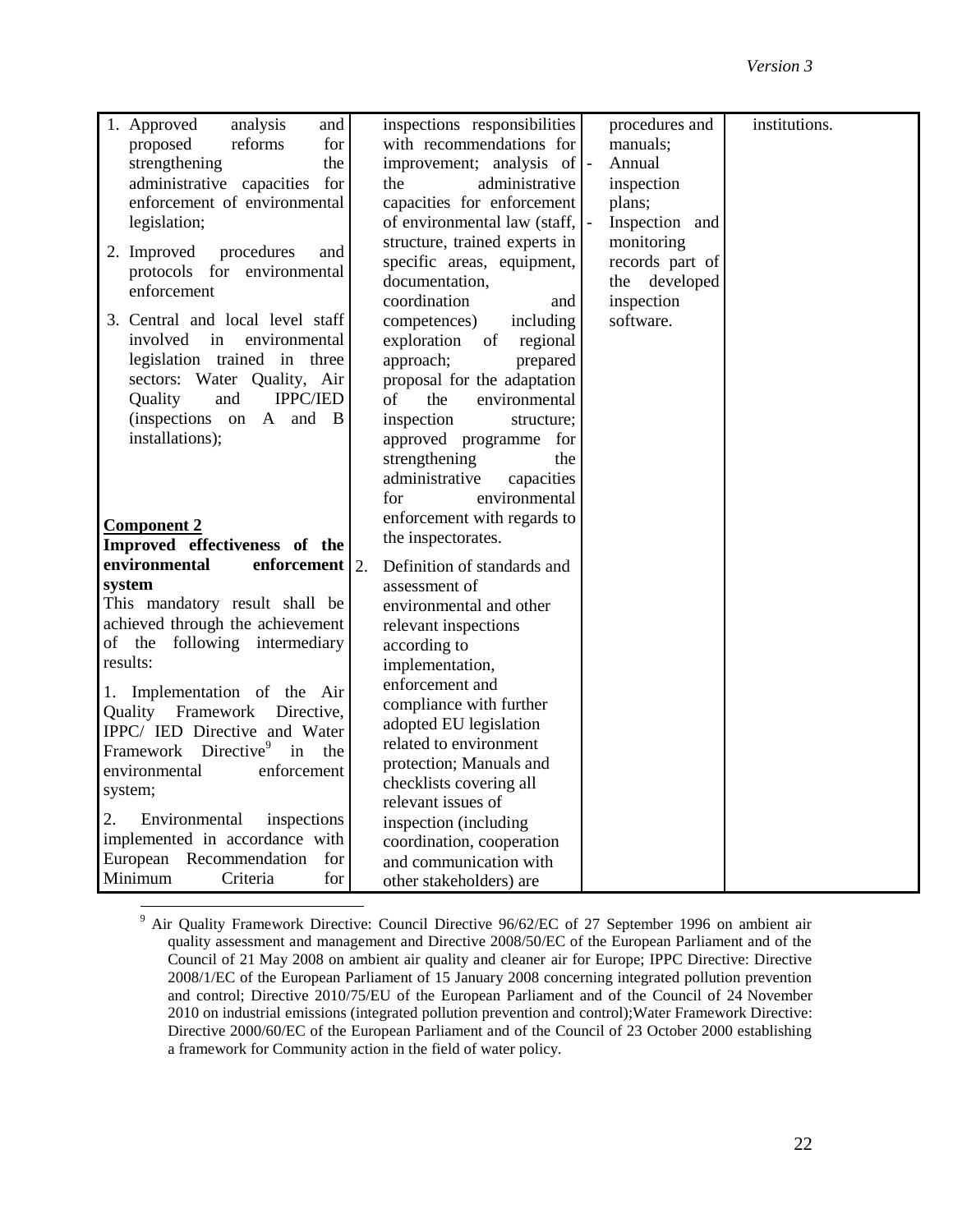| 1. Approved<br>analysis<br>and                | inspections responsibilities  | procedures and           | institutions. |
|-----------------------------------------------|-------------------------------|--------------------------|---------------|
| for<br>reforms<br>proposed                    | with recommendations for      | manuals;                 |               |
| strengthening<br>the                          | improvement; analysis of -    | Annual                   |               |
| administrative capacities<br>for              | the<br>administrative         | inspection               |               |
| enforcement of environmental                  | capacities for enforcement    | plans;                   |               |
| legislation;                                  | of environmental law (staff,  | $\Box$<br>Inspection and |               |
|                                               | structure, trained experts in | monitoring               |               |
| 2. Improved<br>procedures<br>and              | specific areas, equipment,    | records part of          |               |
| protocols for environmental                   | documentation,                | the developed            |               |
| enforcement                                   | coordination<br>and           | inspection               |               |
| 3. Central and local level staff              | competences)<br>including     | software.                |               |
| involved in<br>environmental                  | exploration<br>regional<br>of |                          |               |
| legislation trained in three                  | approach;<br>prepared         |                          |               |
| sectors: Water Quality, Air                   | proposal for the adaptation   |                          |               |
| IPPC/IED<br>and<br>Quality                    | the<br>environmental<br>of    |                          |               |
| (inspections on<br>A and B                    | inspection<br>structure;      |                          |               |
| installations);                               | approved programme for        |                          |               |
|                                               | strengthening<br>the          |                          |               |
|                                               | administrative<br>capacities  |                          |               |
|                                               | environmental<br>for          |                          |               |
| <b>Component 2</b>                            | enforcement with regards to   |                          |               |
| Improved effectiveness of the                 | the inspectorates.            |                          |               |
| environmental<br>enforcement<br>2.            | Definition of standards and   |                          |               |
| system                                        | assessment of                 |                          |               |
| This mandatory result shall be                | environmental and other       |                          |               |
| achieved through the achievement              | relevant inspections          |                          |               |
| of the following intermediary                 | according to                  |                          |               |
| results:                                      | implementation,               |                          |               |
|                                               | enforcement and               |                          |               |
| 1. Implementation of the Air                  | compliance with further       |                          |               |
| Quality Framework Directive,                  | adopted EU legislation        |                          |               |
| IPPC/ IED Directive and Water                 | related to environment        |                          |               |
| Framework Directive <sup>9</sup><br>in<br>the | protection; Manuals and       |                          |               |
| environmental<br>enforcement                  | checklists covering all       |                          |               |
| system;                                       | relevant issues of            |                          |               |
| 2.<br>Environmental<br>inspections            | inspection (including         |                          |               |
| implemented in accordance with                | coordination, cooperation     |                          |               |
| European<br>Recommendation<br>for             | and communication with        |                          |               |
| Minimum<br>for<br>Criteria                    | other stakeholders) are       |                          |               |

<sup>&</sup>lt;sup>9</sup> Air Quality Framework Directive: Council Directive 96/62/EC of 27 September 1996 on ambient air quality assessment and management and Directive 2008/50/EC of the European Parliament and of the Council of 21 May 2008 on ambient air quality and cleaner air for Europe; IPPC Directive: Directive 2008/1/EC of the European Parliament of 15 January 2008 concerning integrated pollution prevention and control; Directive 2010/75/EU of the European Parliament and of the Council of 24 November 2010 on industrial emissions (integrated pollution prevention and control);Water Framework Directive: Directive 2000/60/EC of the European Parliament and of the Council of 23 October 2000 establishing a framework for Community action in the field of water policy.

 $\overline{a}$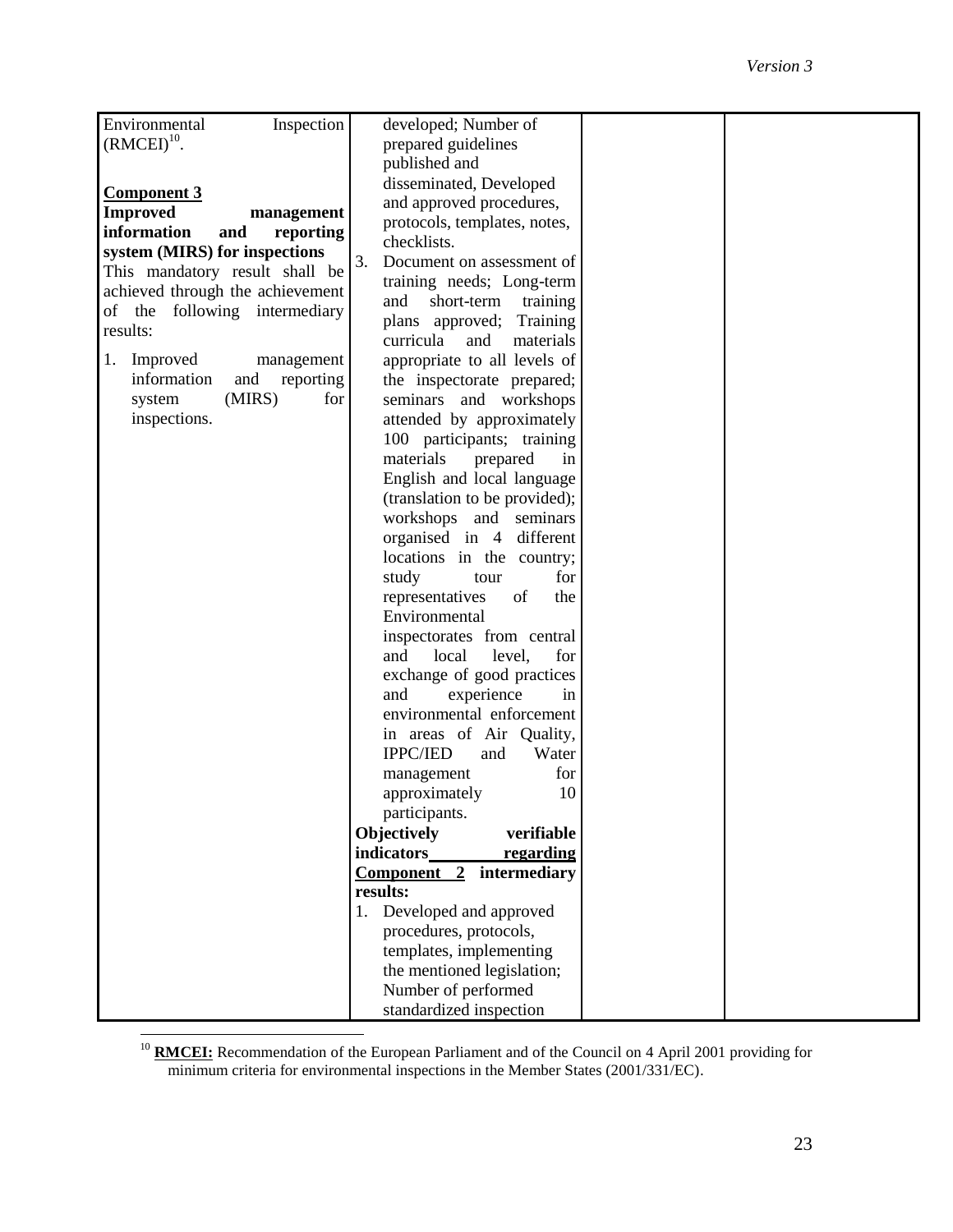| Inspection<br>Environmental      | developed; Number of            |  |
|----------------------------------|---------------------------------|--|
| $(RMCEI)^{10}$ .                 | prepared guidelines             |  |
|                                  | published and                   |  |
|                                  | disseminated, Developed         |  |
| <b>Component 3</b>               | and approved procedures,        |  |
| <b>Improved</b><br>management    | protocols, templates, notes,    |  |
| information<br>and<br>reporting  | checklists.                     |  |
| system (MIRS) for inspections    | 3.<br>Document on assessment of |  |
| This mandatory result shall be   | training needs; Long-term       |  |
| achieved through the achievement | and<br>short-term<br>training   |  |
| of the following intermediary    | plans approved; Training        |  |
| results:                         | curricula<br>and<br>materials   |  |
| Improved<br>1.<br>management     | appropriate to all levels of    |  |
| information<br>and<br>reporting  | the inspectorate prepared;      |  |
| (MIRS)<br>for<br>system          | seminars and workshops          |  |
| inspections.                     | attended by approximately       |  |
|                                  | 100 participants; training      |  |
|                                  | materials<br>prepared<br>in     |  |
|                                  | English and local language      |  |
|                                  | (translation to be provided);   |  |
|                                  | workshops and seminars          |  |
|                                  | organised in 4 different        |  |
|                                  | locations in the country;       |  |
|                                  | for                             |  |
|                                  | study<br>tour                   |  |
|                                  | of<br>representatives<br>the    |  |
|                                  | Environmental                   |  |
|                                  | inspectorates from central      |  |
|                                  | local<br>level,<br>and<br>for   |  |
|                                  | exchange of good practices      |  |
|                                  | experience<br>and<br>in         |  |
|                                  | environmental enforcement       |  |
|                                  | in areas of Air Quality,        |  |
|                                  | <b>IPPC/IED</b><br>Water<br>and |  |
|                                  | for<br>management               |  |
|                                  | approximately<br>10             |  |
|                                  | participants.                   |  |
|                                  | Objectively<br>verifiable       |  |
|                                  | indicators<br>regarding         |  |
|                                  | Component 2<br>intermediary     |  |
|                                  | results:                        |  |
|                                  | Developed and approved<br>1.    |  |
|                                  | procedures, protocols,          |  |
|                                  | templates, implementing         |  |
|                                  | the mentioned legislation;      |  |
|                                  | Number of performed             |  |
|                                  | standardized inspection         |  |

 $\overline{a}$ <sup>10</sup> **RMCEI:** Recommendation of the European Parliament and of the Council on 4 April 2001 providing for minimum criteria for environmental inspections in the Member States (2001/331/EC).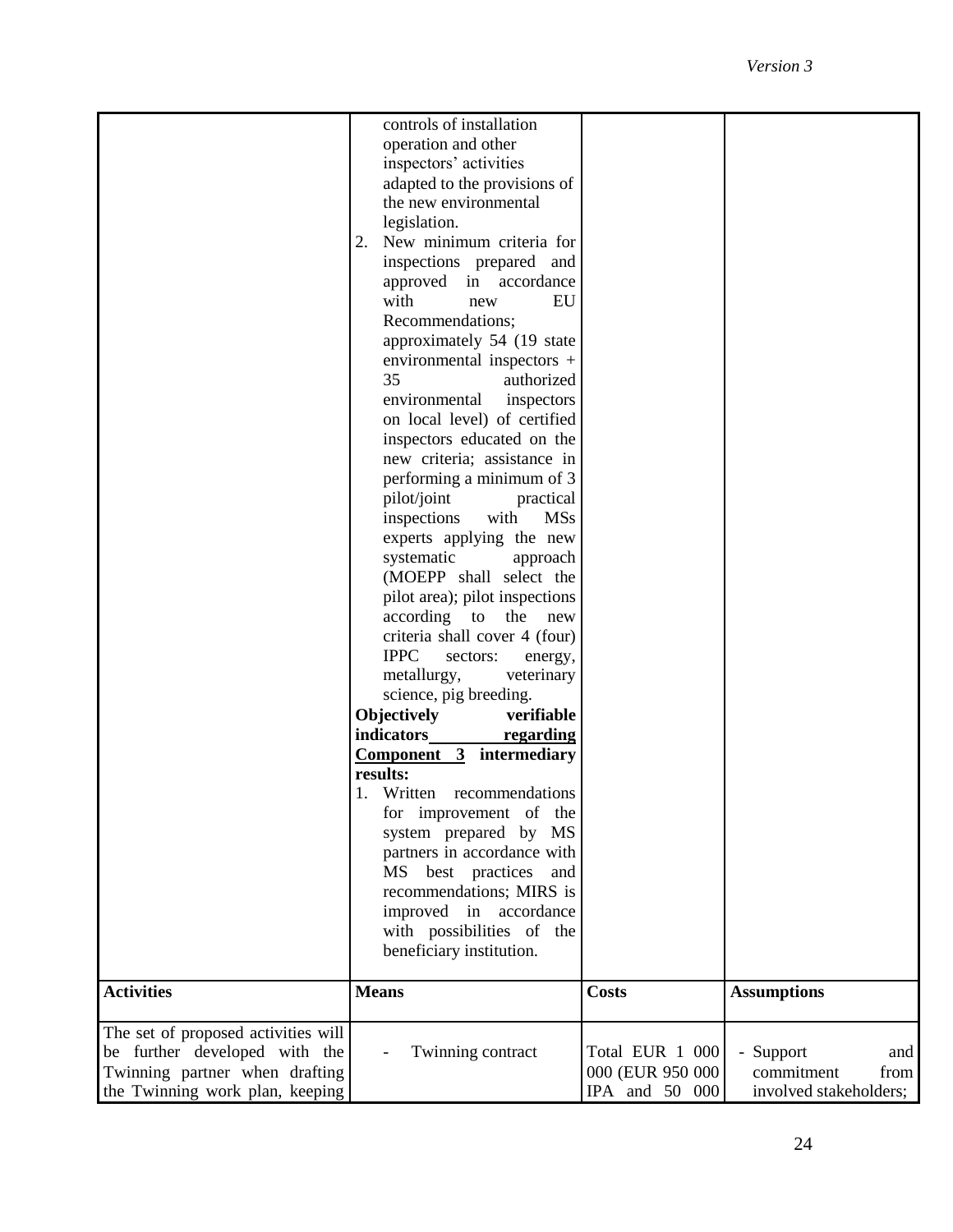|                                     | controls of installation           |                   |                        |
|-------------------------------------|------------------------------------|-------------------|------------------------|
|                                     | operation and other                |                   |                        |
|                                     | inspectors' activities             |                   |                        |
|                                     | adapted to the provisions of       |                   |                        |
|                                     | the new environmental              |                   |                        |
|                                     | legislation.                       |                   |                        |
|                                     | New minimum criteria for<br>2.     |                   |                        |
|                                     | inspections prepared and           |                   |                        |
|                                     | approved in accordance             |                   |                        |
|                                     | with<br>EU<br>new                  |                   |                        |
|                                     | Recommendations;                   |                   |                        |
|                                     | approximately 54 (19 state         |                   |                        |
|                                     | environmental inspectors +         |                   |                        |
|                                     | 35<br>authorized                   |                   |                        |
|                                     | environmental<br>inspectors        |                   |                        |
|                                     | on local level) of certified       |                   |                        |
|                                     | inspectors educated on the         |                   |                        |
|                                     | new criteria; assistance in        |                   |                        |
|                                     | performing a minimum of 3          |                   |                        |
|                                     | pilot/joint<br>practical           |                   |                        |
|                                     | inspections<br><b>MSs</b><br>with  |                   |                        |
|                                     | experts applying the new           |                   |                        |
|                                     | systematic<br>approach             |                   |                        |
|                                     | (MOEPP shall select the            |                   |                        |
|                                     | pilot area); pilot inspections     |                   |                        |
|                                     | according<br>to<br>the<br>new      |                   |                        |
|                                     | criteria shall cover 4 (four)      |                   |                        |
|                                     | <b>IPPC</b><br>sectors:<br>energy, |                   |                        |
|                                     | metallurgy,<br>veterinary          |                   |                        |
|                                     | science, pig breeding.             |                   |                        |
|                                     | <b>Objectively</b><br>verifiable   |                   |                        |
|                                     | indicators<br>regarding            |                   |                        |
|                                     | $Component \quad 3$ intermediary   |                   |                        |
|                                     | results:                           |                   |                        |
|                                     | 1. Written recommendations         |                   |                        |
|                                     | for improvement of the             |                   |                        |
|                                     | system prepared by MS              |                   |                        |
|                                     | partners in accordance with        |                   |                        |
|                                     | MS best practices<br>and           |                   |                        |
|                                     | recommendations; MIRS is           |                   |                        |
|                                     | improved in accordance             |                   |                        |
|                                     | with possibilities of the          |                   |                        |
|                                     | beneficiary institution.           |                   |                        |
|                                     |                                    |                   |                        |
| <b>Activities</b>                   | <b>Means</b>                       | <b>Costs</b>      | <b>Assumptions</b>     |
| The set of proposed activities will |                                    |                   |                        |
| be further developed with the       | Twinning contract                  | Total EUR 1 000   | - Support<br>and       |
| Twinning partner when drafting      |                                    | 000 (EUR 950 000) | commitment<br>from     |
| the Twinning work plan, keeping     |                                    | IPA and 50 000    | involved stakeholders; |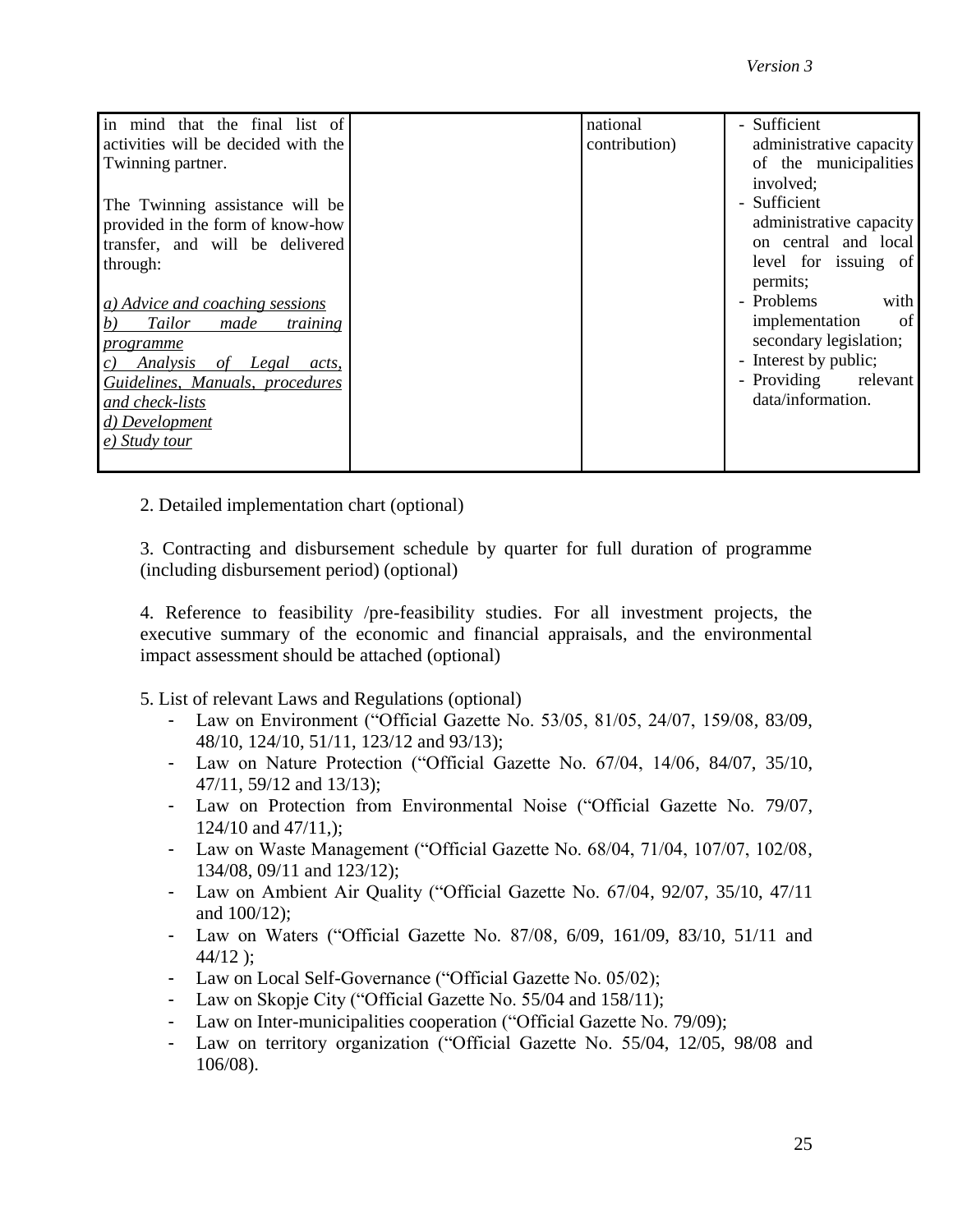| in mind that the final list of                   | national      | - Sufficient            |
|--------------------------------------------------|---------------|-------------------------|
| activities will be decided with the              | contribution) | administrative capacity |
| Twinning partner.                                |               | of the municipalities   |
|                                                  |               | involved:               |
| The Twinning assistance will be                  |               | - Sufficient            |
| provided in the form of know-how                 |               | administrative capacity |
| transfer, and will be delivered                  |               | on central and local    |
| through:                                         |               | level for issuing of    |
|                                                  |               | permits;                |
| a) Advice and coaching sessions                  |               | - Problems<br>with      |
| <b>Tailor</b><br>b)<br>made<br><i>training</i>   |               | implementation<br>of    |
| programme                                        |               | secondary legislation;  |
| Analysis<br>of Legal<br>$\mathcal{C}$ )<br>acts, |               | - Interest by public;   |
| Guidelines, Manuals, procedures                  |               | - Providing<br>relevant |
| and check-lists                                  |               | data/information.       |
| d) Development                                   |               |                         |
| e) Study tour                                    |               |                         |
|                                                  |               |                         |

2. Detailed implementation chart (optional)

3. Contracting and disbursement schedule by quarter for full duration of programme (including disbursement period) (optional)

4. Reference to feasibility /pre-feasibility studies. For all investment projects, the executive summary of the economic and financial appraisals, and the environmental impact assessment should be attached (optional)

- 5. List of relevant Laws and Regulations (optional)
	- Law on Environment ("Official Gazette No. 53/05, 81/05, 24/07, 159/08, 83/09, 48/10, 124/10, 51/11, 123/12 and 93/13);
	- Law on Nature Protection ("Official Gazette No. 67/04, 14/06, 84/07, 35/10, 47/11, 59/12 and 13/13);
	- Law on Protection from Environmental Noise ("Official Gazette No. 79/07,  $124/10$  and  $47/11$ ,);
	- Law on Waste Management ("Official Gazette No. 68/04, 71/04, 107/07, 102/08, 134/08, 09/11 and 123/12);
	- Law on Ambient Air Quality ("Official Gazette No. 67/04, 92/07, 35/10, 47/11 and 100/12);
	- Law on Waters ("Official Gazette No. 87/08, 6/09, 161/09, 83/10, 51/11 and  $44/12$  );
	- Law on Local Self-Governance ("Official Gazette No. 05/02);
	- Law on Skopje City ("Official Gazette No. 55/04 and 158/11);
	- Law on Inter-municipalities cooperation ("Official Gazette No. 79/09);
	- Law on territory organization ("Official Gazette No. 55/04, 12/05, 98/08 and 106/08).